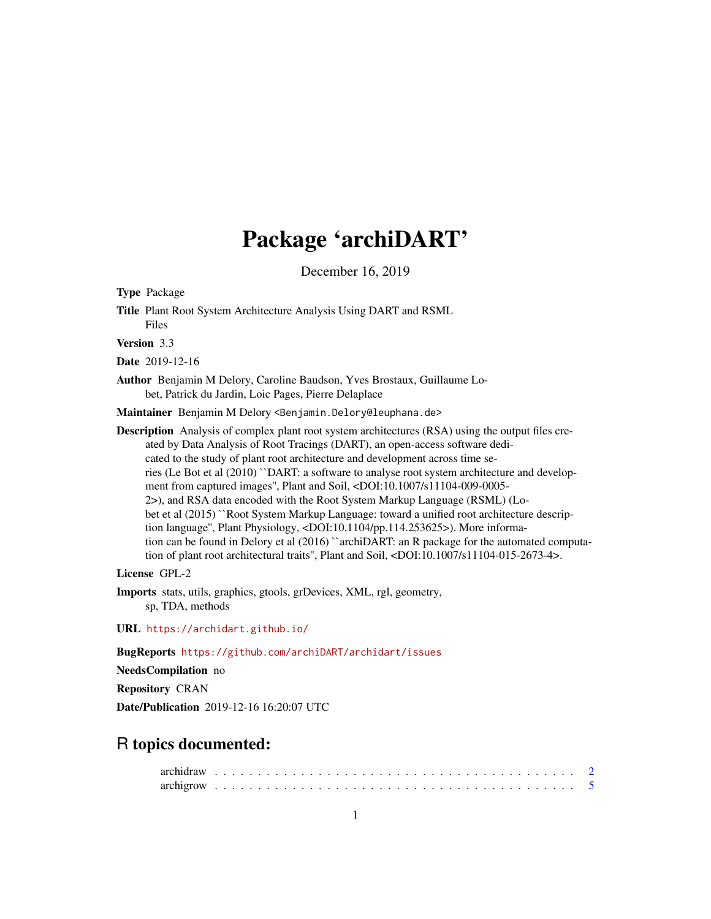# Package 'archiDART'

December 16, 2019

<span id="page-0-0"></span>Type Package

Title Plant Root System Architecture Analysis Using DART and RSML Files

Version 3.3

Date 2019-12-16

Author Benjamin M Delory, Caroline Baudson, Yves Brostaux, Guillaume Lobet, Patrick du Jardin, Loic Pages, Pierre Delaplace

Maintainer Benjamin M Delory <Benjamin.Delory@leuphana.de>

Description Analysis of complex plant root system architectures (RSA) using the output files created by Data Analysis of Root Tracings (DART), an open-access software dedicated to the study of plant root architecture and development across time series (Le Bot et al (2010) ``DART: a software to analyse root system architecture and development from captured images", Plant and Soil, <DOI:10.1007/s11104-009-0005-2>), and RSA data encoded with the Root System Markup Language (RSML) (Lobet et al (2015) ``Root System Markup Language: toward a unified root architecture description language", Plant Physiology, <DOI:10.1104/pp.114.253625>). More information can be found in Delory et al (2016) "archiDART: an R package for the automated computation of plant root architectural traits'', Plant and Soil, <DOI:10.1007/s11104-015-2673-4>.

License GPL-2

Imports stats, utils, graphics, gtools, grDevices, XML, rgl, geometry, sp, TDA, methods

URL <https://archidart.github.io/>

BugReports <https://github.com/archiDART/archidart/issues>

NeedsCompilation no

Repository CRAN

Date/Publication 2019-12-16 16:20:07 UTC

# R topics documented: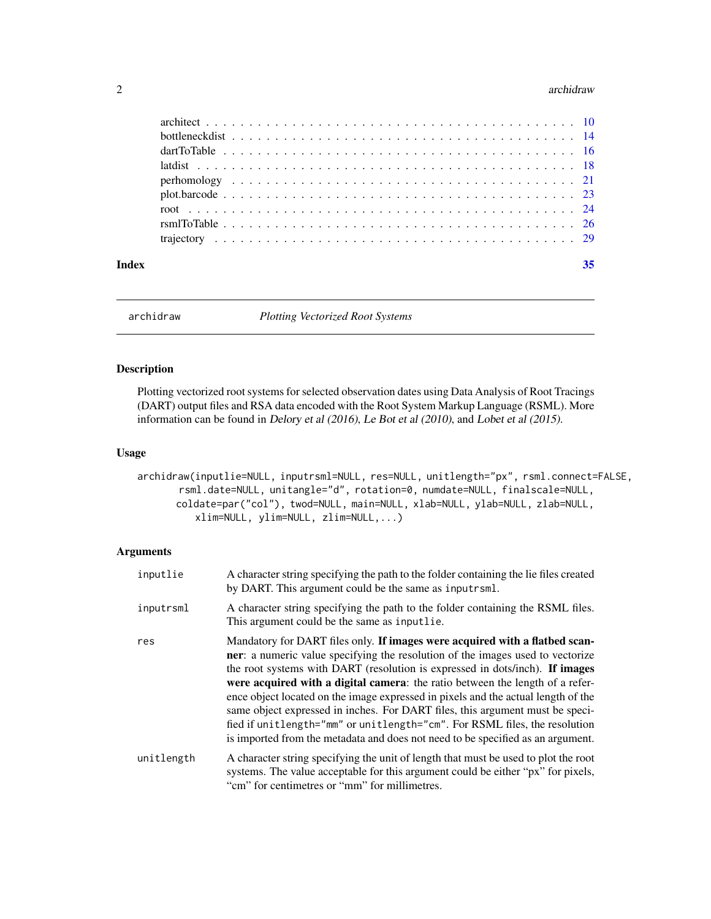#### <span id="page-1-0"></span>2 archidraw and  $\alpha$  archidraw and  $\alpha$  archidraw and  $\alpha$  archidraw and  $\alpha$  archidraw and  $\alpha$

| Index |  |  |  |  |  |  |  |  |  |  |  |  |  |  |  |  |  |
|-------|--|--|--|--|--|--|--|--|--|--|--|--|--|--|--|--|--|
|       |  |  |  |  |  |  |  |  |  |  |  |  |  |  |  |  |  |
|       |  |  |  |  |  |  |  |  |  |  |  |  |  |  |  |  |  |
|       |  |  |  |  |  |  |  |  |  |  |  |  |  |  |  |  |  |
|       |  |  |  |  |  |  |  |  |  |  |  |  |  |  |  |  |  |
|       |  |  |  |  |  |  |  |  |  |  |  |  |  |  |  |  |  |
|       |  |  |  |  |  |  |  |  |  |  |  |  |  |  |  |  |  |
|       |  |  |  |  |  |  |  |  |  |  |  |  |  |  |  |  |  |
|       |  |  |  |  |  |  |  |  |  |  |  |  |  |  |  |  |  |
|       |  |  |  |  |  |  |  |  |  |  |  |  |  |  |  |  |  |

archidraw *Plotting Vectorized Root Systems*

# Description

Plotting vectorized root systems for selected observation dates using Data Analysis of Root Tracings (DART) output files and RSA data encoded with the Root System Markup Language (RSML). More information can be found in Delory et al (2016), Le Bot et al (2010), and Lobet et al (2015).

# Usage

```
archidraw(inputlie=NULL, inputrsml=NULL, res=NULL, unitlength="px", rsml.connect=FALSE,
       rsml.date=NULL, unitangle="d", rotation=0, numdate=NULL, finalscale=NULL,
      coldate=par("col"), twod=NULL, main=NULL, xlab=NULL, ylab=NULL, zlab=NULL,
          xlim=NULL, ylim=NULL, zlim=NULL,...)
```
# Arguments

| inputlie   | A character string specifying the path to the folder containing the lie files created<br>by DART. This argument could be the same as inputrsml.                                                                                                                                                                                                                                                                                                                                                                                                                                                                                                                       |
|------------|-----------------------------------------------------------------------------------------------------------------------------------------------------------------------------------------------------------------------------------------------------------------------------------------------------------------------------------------------------------------------------------------------------------------------------------------------------------------------------------------------------------------------------------------------------------------------------------------------------------------------------------------------------------------------|
| inputrsml  | A character string specifying the path to the folder containing the RSML files.<br>This argument could be the same as inputlie.                                                                                                                                                                                                                                                                                                                                                                                                                                                                                                                                       |
| res        | Mandatory for DART files only. If images were acquired with a flatbed scan-<br>ner: a numeric value specifying the resolution of the images used to vectorize<br>the root systems with DART (resolution is expressed in dots/inch). If images<br>were acquired with a digital camera: the ratio between the length of a refer-<br>ence object located on the image expressed in pixels and the actual length of the<br>same object expressed in inches. For DART files, this argument must be speci-<br>fied if unitlength="mm" or unitlength="cm". For RSML files, the resolution<br>is imported from the metadata and does not need to be specified as an argument. |
| unitlength | A character string specifying the unit of length that must be used to plot the root<br>systems. The value acceptable for this argument could be either "px" for pixels,<br>"cm" for centimetres or "mm" for millimetres.                                                                                                                                                                                                                                                                                                                                                                                                                                              |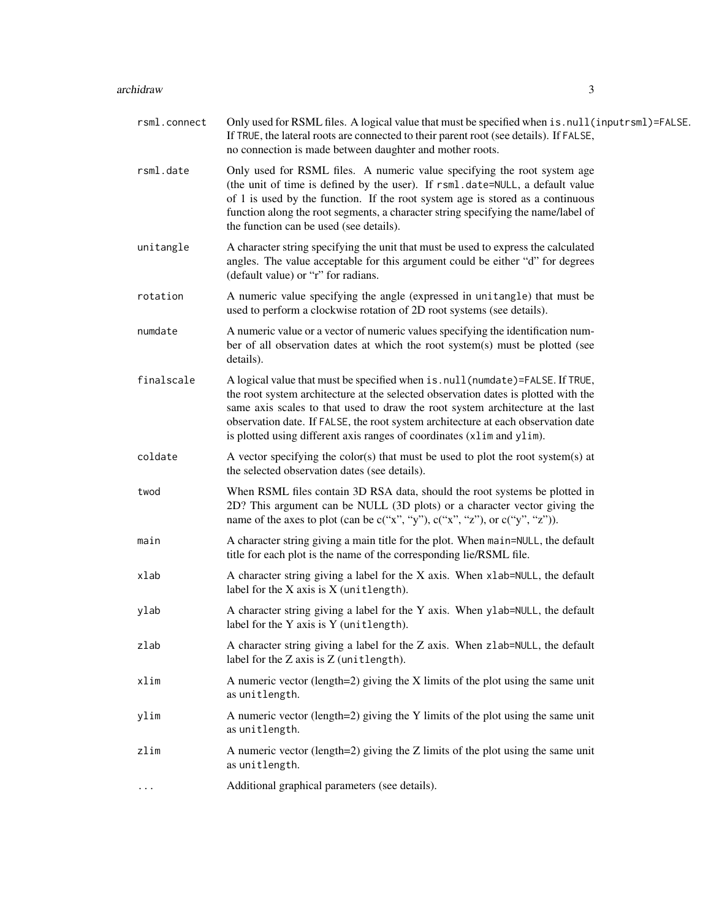# archidraw 3

| rsml.connect | Only used for RSML files. A logical value that must be specified when is . null (inputrsml)=FALSE.<br>If TRUE, the lateral roots are connected to their parent root (see details). If FALSE,<br>no connection is made between daughter and mother roots.                                                                                                                                                            |
|--------------|---------------------------------------------------------------------------------------------------------------------------------------------------------------------------------------------------------------------------------------------------------------------------------------------------------------------------------------------------------------------------------------------------------------------|
| rsml.date    | Only used for RSML files. A numeric value specifying the root system age<br>(the unit of time is defined by the user). If rsml.date=NULL, a default value<br>of 1 is used by the function. If the root system age is stored as a continuous<br>function along the root segments, a character string specifying the name/label of<br>the function can be used (see details).                                         |
| unitangle    | A character string specifying the unit that must be used to express the calculated<br>angles. The value acceptable for this argument could be either "d" for degrees<br>(default value) or "r" for radians.                                                                                                                                                                                                         |
| rotation     | A numeric value specifying the angle (expressed in unitangle) that must be<br>used to perform a clockwise rotation of 2D root systems (see details).                                                                                                                                                                                                                                                                |
| numdate      | A numeric value or a vector of numeric values specifying the identification num-<br>ber of all observation dates at which the root system(s) must be plotted (see<br>details).                                                                                                                                                                                                                                      |
| finalscale   | A logical value that must be specified when is.null(numdate)=FALSE. If TRUE,<br>the root system architecture at the selected observation dates is plotted with the<br>same axis scales to that used to draw the root system architecture at the last<br>observation date. If FALSE, the root system architecture at each observation date<br>is plotted using different axis ranges of coordinates (x1im and y1im). |
| coldate      | A vector specifying the color(s) that must be used to plot the root system(s) at<br>the selected observation dates (see details).                                                                                                                                                                                                                                                                                   |
| twod         | When RSML files contain 3D RSA data, should the root systems be plotted in<br>2D? This argument can be NULL (3D plots) or a character vector giving the<br>name of the axes to plot (can be $c("x", "y"), c("x", "z"), or c("y", "z"))$ .                                                                                                                                                                           |
| main         | A character string giving a main title for the plot. When main=NULL, the default<br>title for each plot is the name of the corresponding lie/RSML file.                                                                                                                                                                                                                                                             |
| xlab         | A character string giving a label for the X axis. When xlab=NULL, the default<br>label for the $X$ axis is $X$ (unitlength).                                                                                                                                                                                                                                                                                        |
| ylab         | A character string giving a label for the Y axis. When ylab=NULL, the default<br>label for the Y axis is Y (unitlength).                                                                                                                                                                                                                                                                                            |
| zlab         | A character string giving a label for the Z axis. When zlab=NULL, the default<br>label for the Z axis is Z (unitlength).                                                                                                                                                                                                                                                                                            |
| xlim         | A numeric vector (length=2) giving the $X$ limits of the plot using the same unit<br>as unitlength.                                                                                                                                                                                                                                                                                                                 |
| ylim         | A numeric vector (length=2) giving the Y limits of the plot using the same unit<br>as unitlength.                                                                                                                                                                                                                                                                                                                   |
| zlim         | A numeric vector (length=2) giving the $Z$ limits of the plot using the same unit<br>as unitlength.                                                                                                                                                                                                                                                                                                                 |
| $\cdots$     | Additional graphical parameters (see details).                                                                                                                                                                                                                                                                                                                                                                      |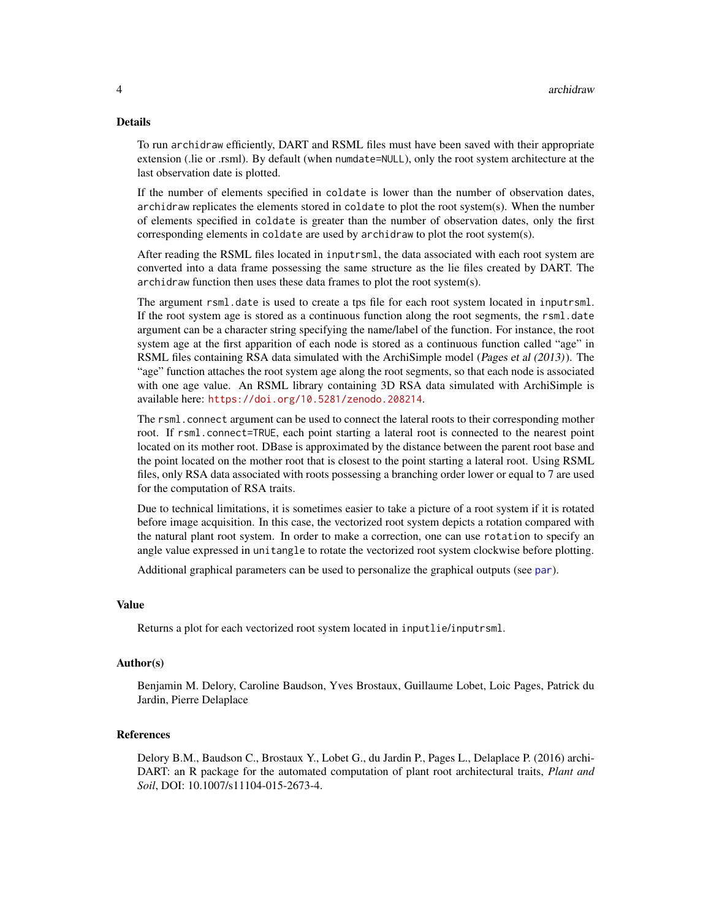#### <span id="page-3-0"></span>Details

To run archidraw efficiently, DART and RSML files must have been saved with their appropriate extension (.lie or .rsml). By default (when numdate=NULL), only the root system architecture at the last observation date is plotted.

If the number of elements specified in coldate is lower than the number of observation dates, archidraw replicates the elements stored in coldate to plot the root system(s). When the number of elements specified in coldate is greater than the number of observation dates, only the first corresponding elements in coldate are used by archidraw to plot the root system(s).

After reading the RSML files located in inputrsml, the data associated with each root system are converted into a data frame possessing the same structure as the lie files created by DART. The archidraw function then uses these data frames to plot the root system(s).

The argument rsml.date is used to create a tps file for each root system located in inputrsml. If the root system age is stored as a continuous function along the root segments, the rsml.date argument can be a character string specifying the name/label of the function. For instance, the root system age at the first apparition of each node is stored as a continuous function called "age" in RSML files containing RSA data simulated with the ArchiSimple model (Pages et al (2013)). The "age" function attaches the root system age along the root segments, so that each node is associated with one age value. An RSML library containing 3D RSA data simulated with ArchiSimple is available here: <https://doi.org/10.5281/zenodo.208214>.

The rsml.connect argument can be used to connect the lateral roots to their corresponding mother root. If rsml.connect=TRUE, each point starting a lateral root is connected to the nearest point located on its mother root. DBase is approximated by the distance between the parent root base and the point located on the mother root that is closest to the point starting a lateral root. Using RSML files, only RSA data associated with roots possessing a branching order lower or equal to 7 are used for the computation of RSA traits.

Due to technical limitations, it is sometimes easier to take a picture of a root system if it is rotated before image acquisition. In this case, the vectorized root system depicts a rotation compared with the natural plant root system. In order to make a correction, one can use rotation to specify an angle value expressed in unitangle to rotate the vectorized root system clockwise before plotting.

Additional graphical parameters can be used to personalize the graphical outputs (see [par](#page-0-0)).

#### Value

Returns a plot for each vectorized root system located in inputlie/inputrsml.

#### Author(s)

Benjamin M. Delory, Caroline Baudson, Yves Brostaux, Guillaume Lobet, Loic Pages, Patrick du Jardin, Pierre Delaplace

#### References

Delory B.M., Baudson C., Brostaux Y., Lobet G., du Jardin P., Pages L., Delaplace P. (2016) archi-DART: an R package for the automated computation of plant root architectural traits, *Plant and Soil*, DOI: 10.1007/s11104-015-2673-4.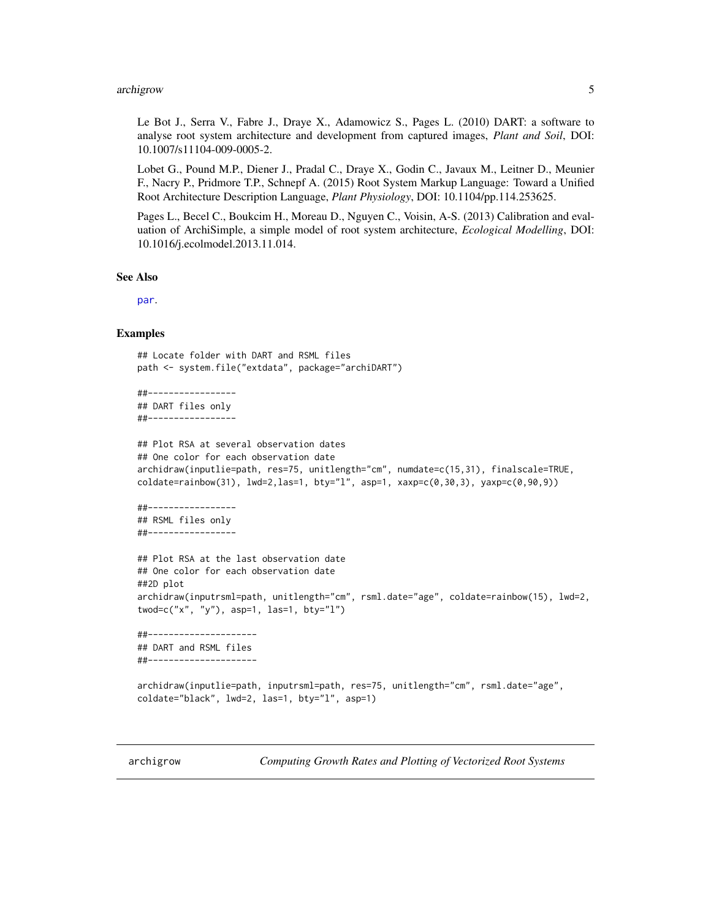#### <span id="page-4-0"></span>archigrow 5

Le Bot J., Serra V., Fabre J., Draye X., Adamowicz S., Pages L. (2010) DART: a software to analyse root system architecture and development from captured images, *Plant and Soil*, DOI: 10.1007/s11104-009-0005-2.

Lobet G., Pound M.P., Diener J., Pradal C., Draye X., Godin C., Javaux M., Leitner D., Meunier F., Nacry P., Pridmore T.P., Schnepf A. (2015) Root System Markup Language: Toward a Unified Root Architecture Description Language, *Plant Physiology*, DOI: 10.1104/pp.114.253625.

Pages L., Becel C., Boukcim H., Moreau D., Nguyen C., Voisin, A-S. (2013) Calibration and evaluation of ArchiSimple, a simple model of root system architecture, *Ecological Modelling*, DOI: 10.1016/j.ecolmodel.2013.11.014.

#### See Also

[par](#page-0-0).

# Examples

```
## Locate folder with DART and RSML files
path <- system.file("extdata", package="archiDART")
```
##----------------- ## DART files only ##-----------------

```
## Plot RSA at several observation dates
## One color for each observation date
archidraw(inputlie=path, res=75, unitlength="cm", numdate=c(15,31), finalscale=TRUE,
\text{coldate=rainbow}(31), \text{ lwd=2}, \text{las=1}, \text{ bty="1", asp=1, xaxp=c(0,30,3), yaxp=c(0,90,9))}##-----------------
## RSML files only
##-----------------
## Plot RSA at the last observation date
## One color for each observation date
##2D plot
archidraw(inputrsml=path, unitlength="cm", rsml.date="age", coldate=rainbow(15), lwd=2,
twod=c("x", "y"), asp=1, las=1, bty="l")
```
##--------------------- ## DART and RSML files ##---------------------

```
archidraw(inputlie=path, inputrsml=path, res=75, unitlength="cm", rsml.date="age",
coldate="black", lwd=2, las=1, bty="l", asp=1)
```
archigrow *Computing Growth Rates and Plotting of Vectorized Root Systems*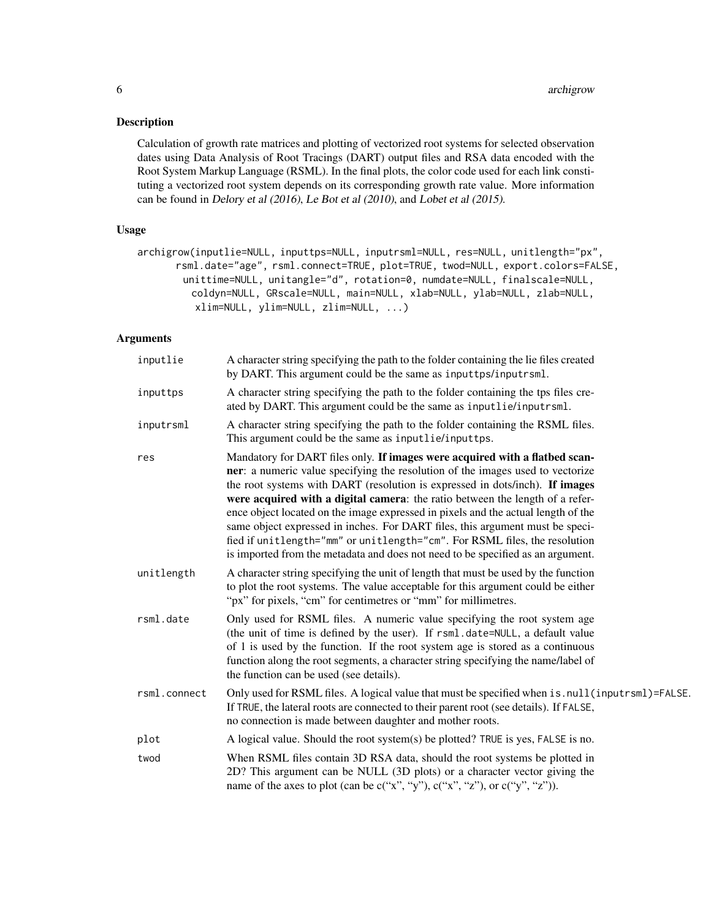# Description

Calculation of growth rate matrices and plotting of vectorized root systems for selected observation dates using Data Analysis of Root Tracings (DART) output files and RSA data encoded with the Root System Markup Language (RSML). In the final plots, the color code used for each link constituting a vectorized root system depends on its corresponding growth rate value. More information can be found in Delory et al (2016), Le Bot et al (2010), and Lobet et al (2015).

# Usage

archigrow(inputlie=NULL, inputtps=NULL, inputrsml=NULL, res=NULL, unitlength="px", rsml.date="age", rsml.connect=TRUE, plot=TRUE, twod=NULL, export.colors=FALSE, unittime=NULL, unitangle="d", rotation=0, numdate=NULL, finalscale=NULL, coldyn=NULL, GRscale=NULL, main=NULL, xlab=NULL, ylab=NULL, zlab=NULL, xlim=NULL, ylim=NULL, zlim=NULL, ...)

# Arguments

| inputlie     | A character string specifying the path to the folder containing the lie files created<br>by DART. This argument could be the same as inputtps/inputrsml.                                                                                                                                                                                                                                                                                                                                                                                                                                                                                                              |
|--------------|-----------------------------------------------------------------------------------------------------------------------------------------------------------------------------------------------------------------------------------------------------------------------------------------------------------------------------------------------------------------------------------------------------------------------------------------------------------------------------------------------------------------------------------------------------------------------------------------------------------------------------------------------------------------------|
| inputtps     | A character string specifying the path to the folder containing the tps files cre-<br>ated by DART. This argument could be the same as inputlie/inputrsml.                                                                                                                                                                                                                                                                                                                                                                                                                                                                                                            |
| inputrsml    | A character string specifying the path to the folder containing the RSML files.<br>This argument could be the same as inputlie/inputtps.                                                                                                                                                                                                                                                                                                                                                                                                                                                                                                                              |
| res          | Mandatory for DART files only. If images were acquired with a flatbed scan-<br>ner: a numeric value specifying the resolution of the images used to vectorize<br>the root systems with DART (resolution is expressed in dots/inch). If images<br>were acquired with a digital camera: the ratio between the length of a refer-<br>ence object located on the image expressed in pixels and the actual length of the<br>same object expressed in inches. For DART files, this argument must be speci-<br>fied if unitlength="mm" or unitlength="cm". For RSML files, the resolution<br>is imported from the metadata and does not need to be specified as an argument. |
| unitlength   | A character string specifying the unit of length that must be used by the function<br>to plot the root systems. The value acceptable for this argument could be either<br>"px" for pixels, "cm" for centimetres or "mm" for millimetres.                                                                                                                                                                                                                                                                                                                                                                                                                              |
| rsml.date    | Only used for RSML files. A numeric value specifying the root system age<br>(the unit of time is defined by the user). If rsml.date=NULL, a default value<br>of 1 is used by the function. If the root system age is stored as a continuous<br>function along the root segments, a character string specifying the name/label of<br>the function can be used (see details).                                                                                                                                                                                                                                                                                           |
| rsml.connect | Only used for RSML files. A logical value that must be specified when is . null (inputrsml)=FALSE.<br>If TRUE, the lateral roots are connected to their parent root (see details). If FALSE,<br>no connection is made between daughter and mother roots.                                                                                                                                                                                                                                                                                                                                                                                                              |
| plot         | A logical value. Should the root system(s) be plotted? TRUE is yes, FALSE is no.                                                                                                                                                                                                                                                                                                                                                                                                                                                                                                                                                                                      |
| twod         | When RSML files contain 3D RSA data, should the root systems be plotted in<br>2D? This argument can be NULL (3D plots) or a character vector giving the<br>name of the axes to plot (can be $c("x", "y"), c("x", "z"), or c("y", "z"))$ .                                                                                                                                                                                                                                                                                                                                                                                                                             |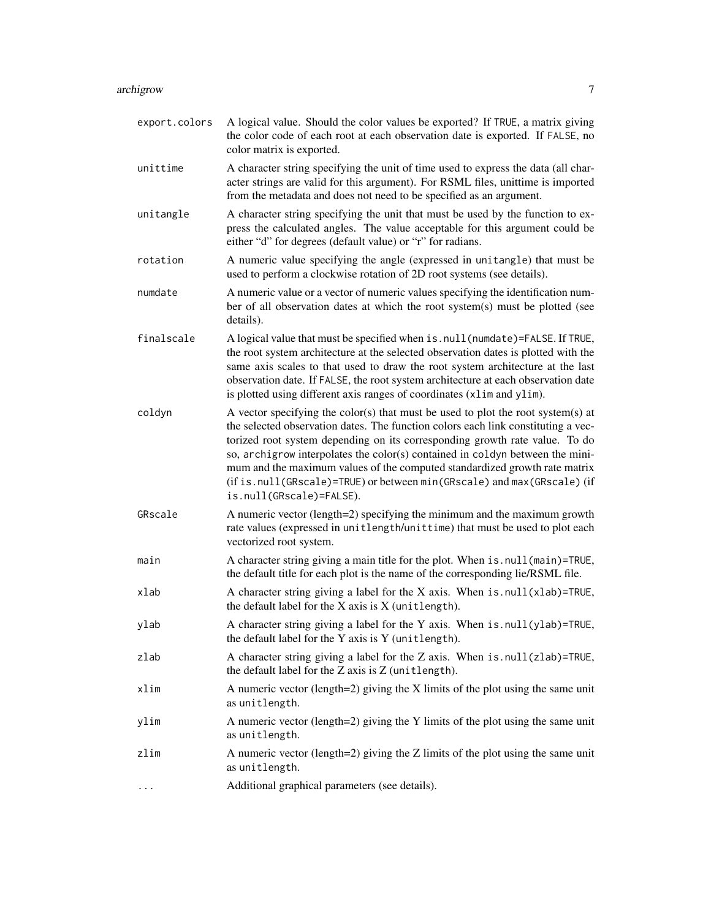| export.colors | A logical value. Should the color values be exported? If TRUE, a matrix giving<br>the color code of each root at each observation date is exported. If FALSE, no<br>color matrix is exported.                                                                                                                                                                                                                                                                                                                              |
|---------------|----------------------------------------------------------------------------------------------------------------------------------------------------------------------------------------------------------------------------------------------------------------------------------------------------------------------------------------------------------------------------------------------------------------------------------------------------------------------------------------------------------------------------|
| unittime      | A character string specifying the unit of time used to express the data (all char-<br>acter strings are valid for this argument). For RSML files, unittime is imported<br>from the metadata and does not need to be specified as an argument.                                                                                                                                                                                                                                                                              |
| unitangle     | A character string specifying the unit that must be used by the function to ex-<br>press the calculated angles. The value acceptable for this argument could be<br>either "d" for degrees (default value) or "r" for radians.                                                                                                                                                                                                                                                                                              |
| rotation      | A numeric value specifying the angle (expressed in unitangle) that must be<br>used to perform a clockwise rotation of 2D root systems (see details).                                                                                                                                                                                                                                                                                                                                                                       |
| numdate       | A numeric value or a vector of numeric values specifying the identification num-<br>ber of all observation dates at which the root system(s) must be plotted (see<br>details).                                                                                                                                                                                                                                                                                                                                             |
| finalscale    | A logical value that must be specified when is.null(numdate)=FALSE. If TRUE,<br>the root system architecture at the selected observation dates is plotted with the<br>same axis scales to that used to draw the root system architecture at the last<br>observation date. If FALSE, the root system architecture at each observation date<br>is plotted using different axis ranges of coordinates (xlim and ylim).                                                                                                        |
| coldyn        | A vector specifying the color(s) that must be used to plot the root system(s) at<br>the selected observation dates. The function colors each link constituting a vec-<br>torized root system depending on its corresponding growth rate value. To do<br>so, archigrow interpolates the color(s) contained in coldyn between the mini-<br>mum and the maximum values of the computed standardized growth rate matrix<br>(if is.null(GRscale)=TRUE) or between min(GRscale) and max(GRscale) (if<br>is.null(GRscale)=FALSE). |
| GRscale       | A numeric vector (length=2) specifying the minimum and the maximum growth<br>rate values (expressed in unitlength/unittime) that must be used to plot each<br>vectorized root system.                                                                                                                                                                                                                                                                                                                                      |
| main          | A character string giving a main title for the plot. When is . null (main)=TRUE,<br>the default title for each plot is the name of the corresponding lie/RSML file.                                                                                                                                                                                                                                                                                                                                                        |
| xlab          | A character string giving a label for the X axis. When $is. null(xlab)$ =TRUE,<br>the default label for the $X$ axis is $X$ (unitlength).                                                                                                                                                                                                                                                                                                                                                                                  |
| ylab          | A character string giving a label for the Y axis. When is . null(ylab)=TRUE,<br>the default label for the Y axis is Y (unitlength).                                                                                                                                                                                                                                                                                                                                                                                        |
| zlab          | A character string giving a label for the Z axis. When is . null(zlab)=TRUE,<br>the default label for the Z axis is Z (unitlength).                                                                                                                                                                                                                                                                                                                                                                                        |
| xlim          | A numeric vector (length=2) giving the $X$ limits of the plot using the same unit<br>as unitlength.                                                                                                                                                                                                                                                                                                                                                                                                                        |
| ylim          | A numeric vector (length=2) giving the Y limits of the plot using the same unit<br>as unitlength.                                                                                                                                                                                                                                                                                                                                                                                                                          |
| zlim          | A numeric vector (length=2) giving the Z limits of the plot using the same unit<br>as unitlength.                                                                                                                                                                                                                                                                                                                                                                                                                          |
| $\cdots$      | Additional graphical parameters (see details).                                                                                                                                                                                                                                                                                                                                                                                                                                                                             |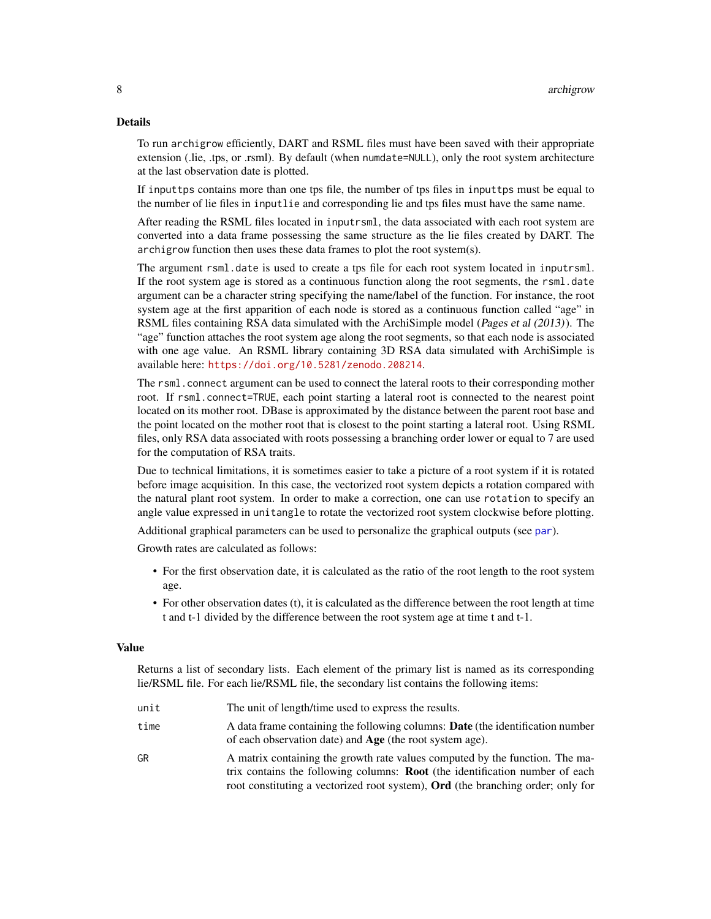# <span id="page-7-0"></span>Details

To run archigrow efficiently, DART and RSML files must have been saved with their appropriate extension (.lie, .tps, or .rsml). By default (when numdate=NULL), only the root system architecture at the last observation date is plotted.

If inputtps contains more than one tps file, the number of tps files in inputtps must be equal to the number of lie files in inputlie and corresponding lie and tps files must have the same name.

After reading the RSML files located in inputrsml, the data associated with each root system are converted into a data frame possessing the same structure as the lie files created by DART. The archigrow function then uses these data frames to plot the root system(s).

The argument rsml.date is used to create a tps file for each root system located in inputrsml. If the root system age is stored as a continuous function along the root segments, the rsml.date argument can be a character string specifying the name/label of the function. For instance, the root system age at the first apparition of each node is stored as a continuous function called "age" in RSML files containing RSA data simulated with the ArchiSimple model (Pages et al (2013)). The "age" function attaches the root system age along the root segments, so that each node is associated with one age value. An RSML library containing 3D RSA data simulated with ArchiSimple is available here: <https://doi.org/10.5281/zenodo.208214>.

The rsml.connect argument can be used to connect the lateral roots to their corresponding mother root. If rsml.connect=TRUE, each point starting a lateral root is connected to the nearest point located on its mother root. DBase is approximated by the distance between the parent root base and the point located on the mother root that is closest to the point starting a lateral root. Using RSML files, only RSA data associated with roots possessing a branching order lower or equal to 7 are used for the computation of RSA traits.

Due to technical limitations, it is sometimes easier to take a picture of a root system if it is rotated before image acquisition. In this case, the vectorized root system depicts a rotation compared with the natural plant root system. In order to make a correction, one can use rotation to specify an angle value expressed in unitangle to rotate the vectorized root system clockwise before plotting.

Additional graphical parameters can be used to personalize the graphical outputs (see [par](#page-0-0)).

Growth rates are calculated as follows:

- For the first observation date, it is calculated as the ratio of the root length to the root system age.
- For other observation dates (t), it is calculated as the difference between the root length at time t and t-1 divided by the difference between the root system age at time t and t-1.

#### Value

Returns a list of secondary lists. Each element of the primary list is named as its corresponding lie/RSML file. For each lie/RSML file, the secondary list contains the following items:

- unit The unit of length/time used to express the results.
- time A data frame containing the following columns: Date (the identification number of each observation date) and Age (the root system age).
- GR A matrix containing the growth rate values computed by the function. The matrix contains the following columns: Root (the identification number of each root constituting a vectorized root system), Ord (the branching order; only for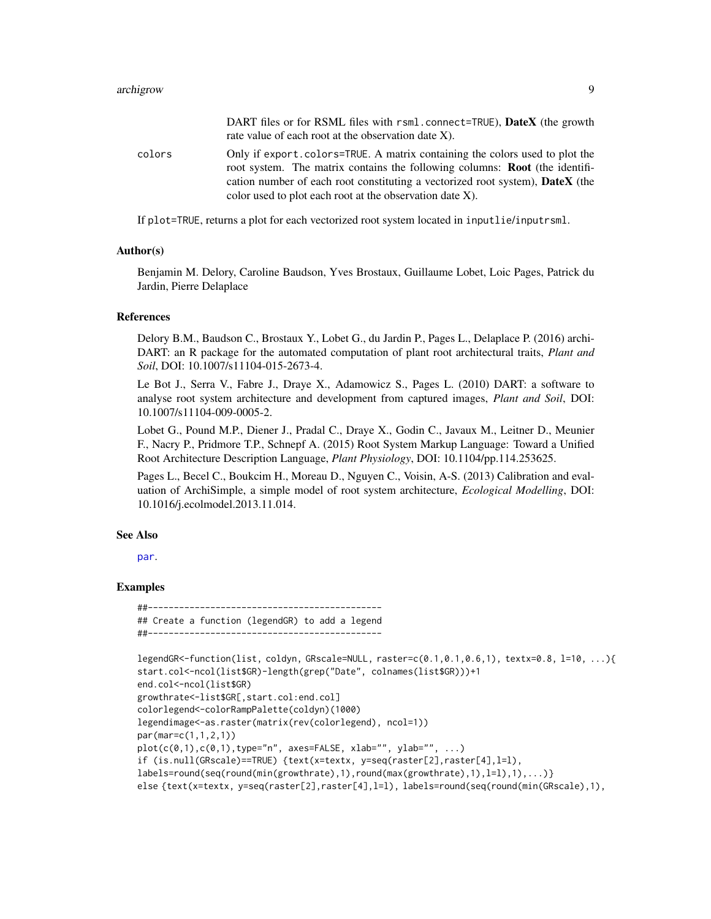#### <span id="page-8-0"></span>archigrow 90 and 200 and 200 and 200 and 200 and 200 and 200 and 200 and 200 and 200 and 200 and 200 and 200 a

|        | DART files or for RSML files with rsml.connect=TRUE), DateX (the growth<br>rate value of each root at the observation date $X$ ).                                                                                                                                                                                         |
|--------|---------------------------------------------------------------------------------------------------------------------------------------------------------------------------------------------------------------------------------------------------------------------------------------------------------------------------|
| colors | Only if export, colors=TRUE. A matrix containing the colors used to plot the<br>root system. The matrix contains the following columns: <b>Root</b> (the identifi-<br>cation number of each root constituting a vectorized root system), <b>DateX</b> (the<br>color used to plot each root at the observation date $X$ ). |

If plot=TRUE, returns a plot for each vectorized root system located in inputlie/inputrsml.

#### Author(s)

Benjamin M. Delory, Caroline Baudson, Yves Brostaux, Guillaume Lobet, Loic Pages, Patrick du Jardin, Pierre Delaplace

# References

Delory B.M., Baudson C., Brostaux Y., Lobet G., du Jardin P., Pages L., Delaplace P. (2016) archi-DART: an R package for the automated computation of plant root architectural traits, *Plant and Soil*, DOI: 10.1007/s11104-015-2673-4.

Le Bot J., Serra V., Fabre J., Draye X., Adamowicz S., Pages L. (2010) DART: a software to analyse root system architecture and development from captured images, *Plant and Soil*, DOI: 10.1007/s11104-009-0005-2.

Lobet G., Pound M.P., Diener J., Pradal C., Draye X., Godin C., Javaux M., Leitner D., Meunier F., Nacry P., Pridmore T.P., Schnepf A. (2015) Root System Markup Language: Toward a Unified Root Architecture Description Language, *Plant Physiology*, DOI: 10.1104/pp.114.253625.

Pages L., Becel C., Boukcim H., Moreau D., Nguyen C., Voisin, A-S. (2013) Calibration and evaluation of ArchiSimple, a simple model of root system architecture, *Ecological Modelling*, DOI: 10.1016/j.ecolmodel.2013.11.014.

# See Also

[par](#page-0-0).

# Examples

##--------------------------------------------- ## Create a function (legendGR) to add a legend ##---------------------------------------------

```
legendGR<-function(list, coldyn, GRscale=NULL, raster=c(0.1,0.1,0.6,1), textx=0.8, l=10, ...){
start.col<-ncol(list$GR)-length(grep("Date", colnames(list$GR)))+1
end.col<-ncol(list$GR)
growthrate<-list$GR[,start.col:end.col]
colorlegend<-colorRampPalette(coldyn)(1000)
legendimage<-as.raster(matrix(rev(colorlegend), ncol=1))
par(mar=c(1,1,2,1))
plot(c(\theta,1),c(\theta,1),type="n", axes=FALSE, xlab="", ylab="", ...)if (is.null(GRscale)==TRUE) {text(x=textx, y=seq(raster[2],raster[4],l=l),
labels=round(seq(round(min(growthrate),1),round(max(growthrate),1),l=l),1),...)}
else {text(x=textx, y=seq(raster[2],raster[4],l=l), labels=round(seq(round(min(GRscale),1),
```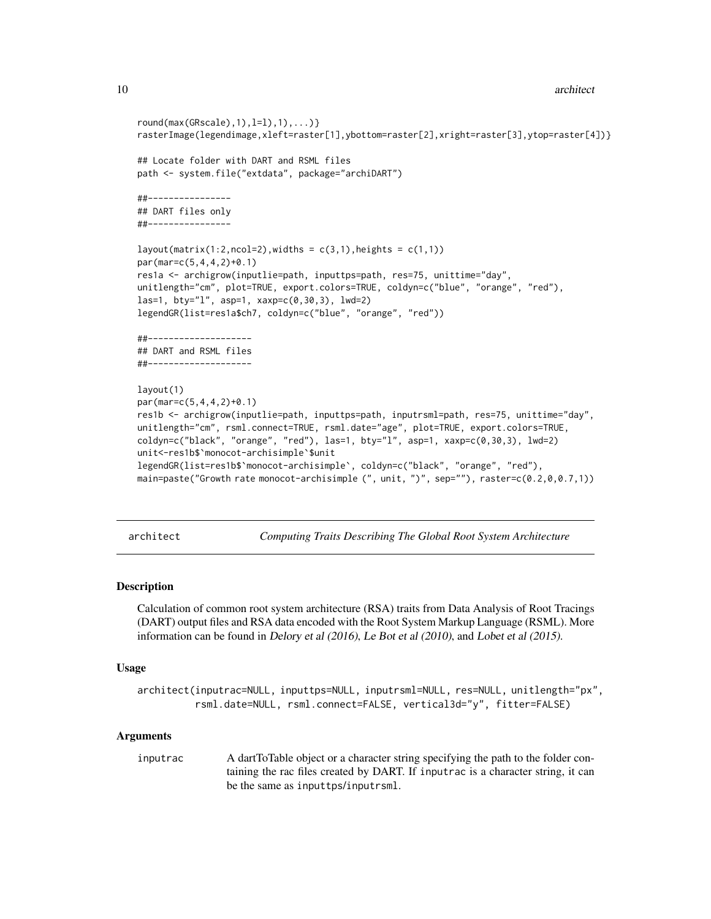```
round(max(GRscale),1),l=1),1),\ldots)rasterImage(legendimage,xleft=raster[1],ybottom=raster[2],xright=raster[3],ytop=raster[4])}
## Locate folder with DART and RSML files
path <- system.file("extdata", package="archiDART")
##----------------
## DART files only
##----------------
layout(maxrix(1:2,ncol=2),width = c(3,1),height = c(1,1))par(mar=c(5,4,4,2)+0.1)
res1a <- archigrow(inputlie=path, inputtps=path, res=75, unittime="day",
unitlength="cm", plot=TRUE, export.colors=TRUE, coldyn=c("blue", "orange", "red"),
las=1, bty="l", asp=1, xaxp=c(0,30,3), lwd=2)
legendGR(list=res1a$ch7, coldyn=c("blue", "orange", "red"))
##--------------------
## DART and RSML files
##--------------------
layout(1)
par(mar=c(5,4,4,2)+0.1)
res1b <- archigrow(inputlie=path, inputtps=path, inputrsml=path, res=75, unittime="day",
unitlength="cm", rsml.connect=TRUE, rsml.date="age", plot=TRUE, export.colors=TRUE,
coldyn=c("black", "orange", "red"), las=1, bty="l", asp=1, xaxp=c(0,30,3), lwd=2)
unit<-res1b$`monocot-archisimple`$unit
legendGR(list=res1b$`monocot-archisimple`, coldyn=c("black", "orange", "red"),
main=paste("Growth rate monocot-archisimple (", unit, ")", sep=""), raster=c(0.2,0,0.7,1))
```
architect *Computing Traits Describing The Global Root System Architecture*

# Description

Calculation of common root system architecture (RSA) traits from Data Analysis of Root Tracings (DART) output files and RSA data encoded with the Root System Markup Language (RSML). More information can be found in Delory et al (2016), Le Bot et al (2010), and Lobet et al (2015).

### Usage

architect(inputrac=NULL, inputtps=NULL, inputrsml=NULL, res=NULL, unitlength="px", rsml.date=NULL, rsml.connect=FALSE, vertical3d="y", fitter=FALSE)

#### **Arguments**

inputrac A dartToTable object or a character string specifying the path to the folder containing the rac files created by DART. If inputrac is a character string, it can be the same as inputtps/inputrsml.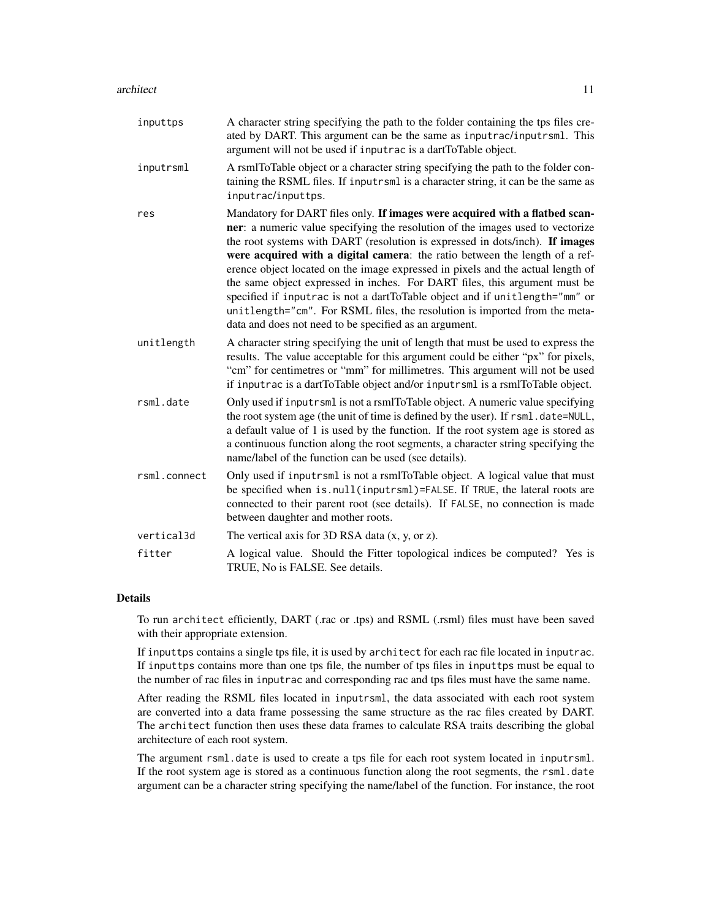| inputtps     | A character string specifying the path to the folder containing the tps files cre-<br>ated by DART. This argument can be the same as inputrac/inputrsml. This<br>argument will not be used if inputrac is a dartToTable object.                                                                                                                                                                                                                                                                                                                                                                                                                                                                                      |
|--------------|----------------------------------------------------------------------------------------------------------------------------------------------------------------------------------------------------------------------------------------------------------------------------------------------------------------------------------------------------------------------------------------------------------------------------------------------------------------------------------------------------------------------------------------------------------------------------------------------------------------------------------------------------------------------------------------------------------------------|
| inputrsml    | A rsmlToTable object or a character string specifying the path to the folder con-<br>taining the RSML files. If inputrsml is a character string, it can be the same as<br>inputrac/inputtps.                                                                                                                                                                                                                                                                                                                                                                                                                                                                                                                         |
| res          | Mandatory for DART files only. If images were acquired with a flatbed scan-<br>ner: a numeric value specifying the resolution of the images used to vectorize<br>the root systems with DART (resolution is expressed in dots/inch). If images<br>were acquired with a digital camera: the ratio between the length of a ref-<br>erence object located on the image expressed in pixels and the actual length of<br>the same object expressed in inches. For DART files, this argument must be<br>specified if inputrac is not a dartToTable object and if unitlength="mm" or<br>unitlength="cm". For RSML files, the resolution is imported from the meta-<br>data and does not need to be specified as an argument. |
| unitlength   | A character string specifying the unit of length that must be used to express the<br>results. The value acceptable for this argument could be either "px" for pixels,<br>"cm" for centimetres or "mm" for millimetres. This argument will not be used<br>if inputrac is a dartToTable object and/or inputrsml is a rsmlToTable object.                                                                                                                                                                                                                                                                                                                                                                               |
| rsml.date    | Only used if inputrsml is not a rsmlToTable object. A numeric value specifying<br>the root system age (the unit of time is defined by the user). If rsml.date=NULL,<br>a default value of 1 is used by the function. If the root system age is stored as<br>a continuous function along the root segments, a character string specifying the<br>name/label of the function can be used (see details).                                                                                                                                                                                                                                                                                                                |
| rsml.connect | Only used if inputrsml is not a rsmlToTable object. A logical value that must<br>be specified when is.null(inputrsml)=FALSE. If TRUE, the lateral roots are<br>connected to their parent root (see details). If FALSE, no connection is made<br>between daughter and mother roots.                                                                                                                                                                                                                                                                                                                                                                                                                                   |
| vertical3d   | The vertical axis for $3D$ RSA data $(x, y, or z)$ .                                                                                                                                                                                                                                                                                                                                                                                                                                                                                                                                                                                                                                                                 |
| fitter       | A logical value. Should the Fitter topological indices be computed? Yes is<br>TRUE, No is FALSE. See details.                                                                                                                                                                                                                                                                                                                                                                                                                                                                                                                                                                                                        |

# Details

To run architect efficiently, DART (.rac or .tps) and RSML (.rsml) files must have been saved with their appropriate extension.

If inputtps contains a single tps file, it is used by architect for each rac file located in inputrac. If inputtps contains more than one tps file, the number of tps files in inputtps must be equal to the number of rac files in inputrac and corresponding rac and tps files must have the same name.

After reading the RSML files located in inputrsml, the data associated with each root system are converted into a data frame possessing the same structure as the rac files created by DART. The architect function then uses these data frames to calculate RSA traits describing the global architecture of each root system.

The argument rsml.date is used to create a tps file for each root system located in inputrsml. If the root system age is stored as a continuous function along the root segments, the rsml.date argument can be a character string specifying the name/label of the function. For instance, the root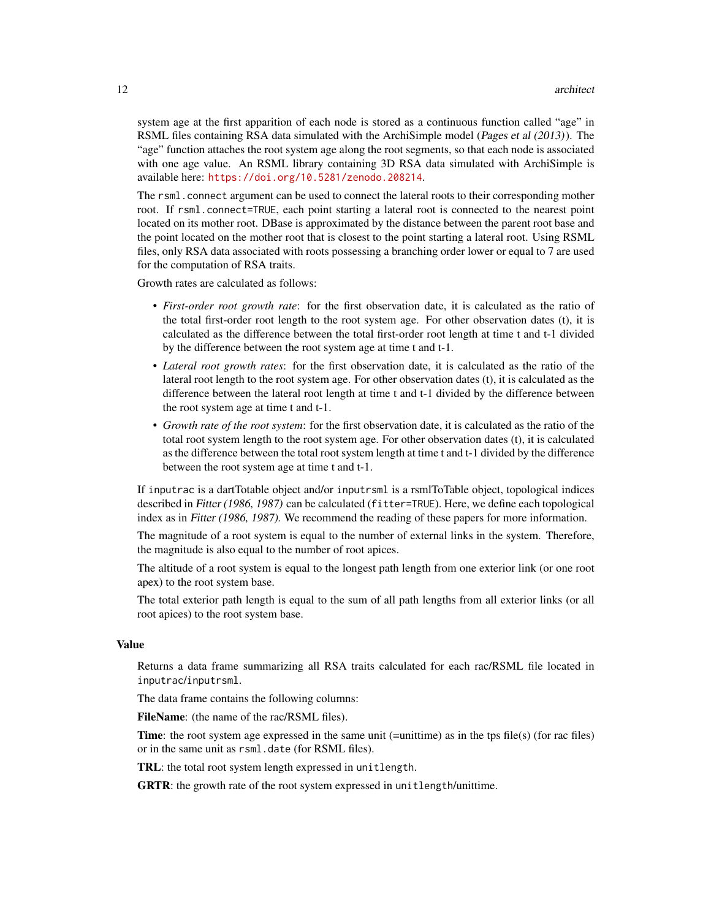system age at the first apparition of each node is stored as a continuous function called "age" in RSML files containing RSA data simulated with the ArchiSimple model (Pages et al (2013)). The "age" function attaches the root system age along the root segments, so that each node is associated with one age value. An RSML library containing 3D RSA data simulated with ArchiSimple is available here: <https://doi.org/10.5281/zenodo.208214>.

The rsml.connect argument can be used to connect the lateral roots to their corresponding mother root. If rsml.connect=TRUE, each point starting a lateral root is connected to the nearest point located on its mother root. DBase is approximated by the distance between the parent root base and the point located on the mother root that is closest to the point starting a lateral root. Using RSML files, only RSA data associated with roots possessing a branching order lower or equal to 7 are used for the computation of RSA traits.

Growth rates are calculated as follows:

- *First-order root growth rate*: for the first observation date, it is calculated as the ratio of the total first-order root length to the root system age. For other observation dates (t), it is calculated as the difference between the total first-order root length at time t and t-1 divided by the difference between the root system age at time t and t-1.
- *Lateral root growth rates*: for the first observation date, it is calculated as the ratio of the lateral root length to the root system age. For other observation dates (t), it is calculated as the difference between the lateral root length at time t and t-1 divided by the difference between the root system age at time t and t-1.
- *Growth rate of the root system*: for the first observation date, it is calculated as the ratio of the total root system length to the root system age. For other observation dates (t), it is calculated as the difference between the total root system length at time t and t-1 divided by the difference between the root system age at time t and t-1.

If inputrac is a dartTotable object and/or inputrsml is a rsmlToTable object, topological indices described in Fitter (1986, 1987) can be calculated (fitter=TRUE). Here, we define each topological index as in Fitter (1986, 1987). We recommend the reading of these papers for more information.

The magnitude of a root system is equal to the number of external links in the system. Therefore, the magnitude is also equal to the number of root apices.

The altitude of a root system is equal to the longest path length from one exterior link (or one root apex) to the root system base.

The total exterior path length is equal to the sum of all path lengths from all exterior links (or all root apices) to the root system base.

# Value

Returns a data frame summarizing all RSA traits calculated for each rac/RSML file located in inputrac/inputrsml.

The data frame contains the following columns:

FileName: (the name of the rac/RSML files).

**Time:** the root system age expressed in the same unit (=unittime) as in the tps file(s) (for rac files) or in the same unit as rsml.date (for RSML files).

TRL: the total root system length expressed in unitlength.

GRTR: the growth rate of the root system expressed in unitlength/unittime.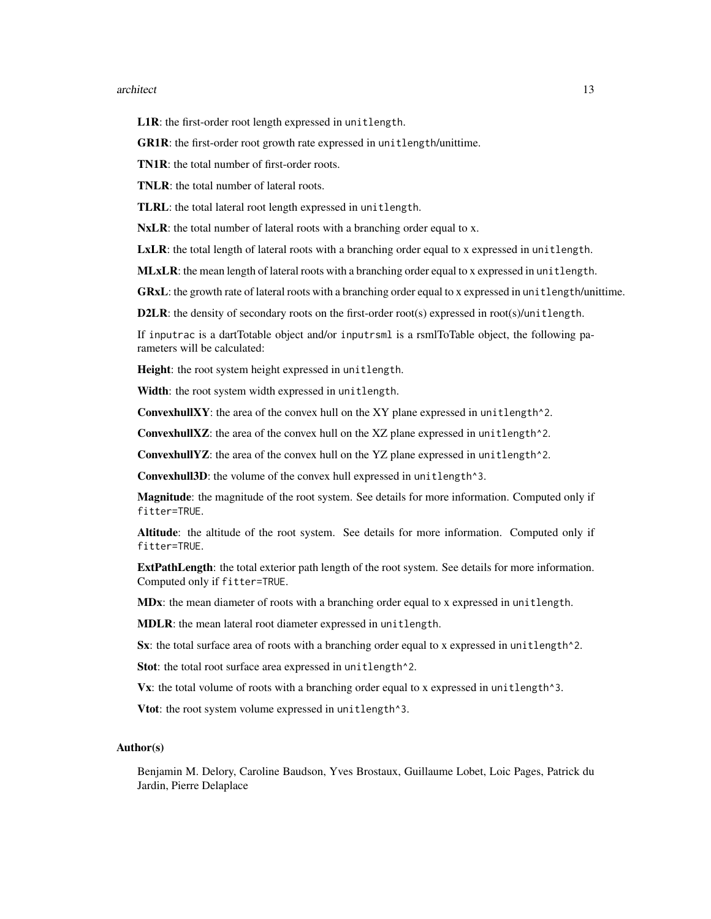#### architect 13

L1R: the first-order root length expressed in unitlength.

GR1R: the first-order root growth rate expressed in unitlength/unittime.

TN1R: the total number of first-order roots.

TNLR: the total number of lateral roots.

TLRL: the total lateral root length expressed in unitlength.

NxLR: the total number of lateral roots with a branching order equal to x.

LxLR: the total length of lateral roots with a branching order equal to x expressed in unitlength.

MLxLR: the mean length of lateral roots with a branching order equal to x expressed in unitlength.

GRxL: the growth rate of lateral roots with a branching order equal to x expressed in unitlength/unittime.

D2LR: the density of secondary roots on the first-order root(s) expressed in root(s)/unitlength.

If inputrac is a dartTotable object and/or inputrsml is a rsmlToTable object, the following parameters will be calculated:

Height: the root system height expressed in unitlength.

Width: the root system width expressed in unitlength.

ConvexhullXY: the area of the convex hull on the XY plane expressed in unitlength^2.

ConvexhullXZ: the area of the convex hull on the XZ plane expressed in unitlength^2.

**ConvexhullYZ:** the area of the convex hull on the YZ plane expressed in unitlength  $^2$ .

Convexhull3D: the volume of the convex hull expressed in unitlength^3.

Magnitude: the magnitude of the root system. See details for more information. Computed only if fitter=TRUE.

Altitude: the altitude of the root system. See details for more information. Computed only if fitter=TRUE.

ExtPathLength: the total exterior path length of the root system. See details for more information. Computed only if fitter=TRUE.

MDx: the mean diameter of roots with a branching order equal to x expressed in unitlength.

MDLR: the mean lateral root diameter expressed in unitlength.

Sx: the total surface area of roots with a branching order equal to x expressed in unitlength<sup>2</sup>.

Stot: the total root surface area expressed in unitlength<sup>^2</sup>.

Vx: the total volume of roots with a branching order equal to x expressed in unitlength^3.

Vtot: the root system volume expressed in unitlength^3.

# Author(s)

Benjamin M. Delory, Caroline Baudson, Yves Brostaux, Guillaume Lobet, Loic Pages, Patrick du Jardin, Pierre Delaplace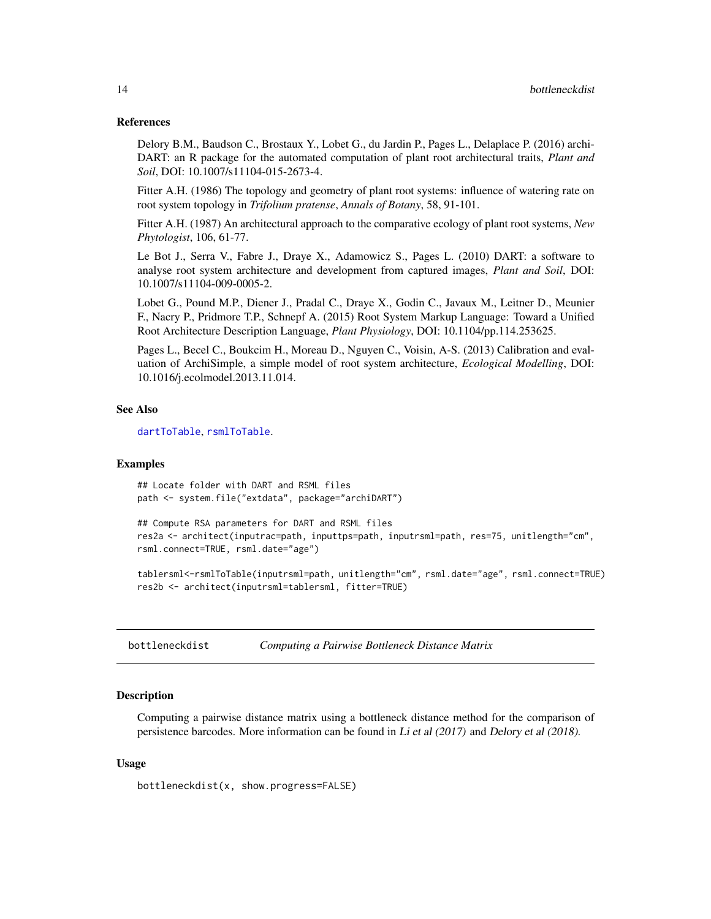# <span id="page-13-0"></span>References

Delory B.M., Baudson C., Brostaux Y., Lobet G., du Jardin P., Pages L., Delaplace P. (2016) archi-DART: an R package for the automated computation of plant root architectural traits, *Plant and Soil*, DOI: 10.1007/s11104-015-2673-4.

Fitter A.H. (1986) The topology and geometry of plant root systems: influence of watering rate on root system topology in *Trifolium pratense*, *Annals of Botany*, 58, 91-101.

Fitter A.H. (1987) An architectural approach to the comparative ecology of plant root systems, *New Phytologist*, 106, 61-77.

Le Bot J., Serra V., Fabre J., Draye X., Adamowicz S., Pages L. (2010) DART: a software to analyse root system architecture and development from captured images, *Plant and Soil*, DOI: 10.1007/s11104-009-0005-2.

Lobet G., Pound M.P., Diener J., Pradal C., Draye X., Godin C., Javaux M., Leitner D., Meunier F., Nacry P., Pridmore T.P., Schnepf A. (2015) Root System Markup Language: Toward a Unified Root Architecture Description Language, *Plant Physiology*, DOI: 10.1104/pp.114.253625.

Pages L., Becel C., Boukcim H., Moreau D., Nguyen C., Voisin, A-S. (2013) Calibration and evaluation of ArchiSimple, a simple model of root system architecture, *Ecological Modelling*, DOI: 10.1016/j.ecolmodel.2013.11.014.

# See Also

[dartToTable](#page-15-1), [rsmlToTable](#page-25-1).

# Examples

## Locate folder with DART and RSML files path <- system.file("extdata", package="archiDART")

```
## Compute RSA parameters for DART and RSML files
res2a <- architect(inputrac=path, inputtps=path, inputrsml=path, res=75, unitlength="cm",
rsml.connect=TRUE, rsml.date="age")
```
tablersml<-rsmlToTable(inputrsml=path, unitlength="cm", rsml.date="age", rsml.connect=TRUE) res2b <- architect(inputrsml=tablersml, fitter=TRUE)

bottleneckdist *Computing a Pairwise Bottleneck Distance Matrix*

# Description

Computing a pairwise distance matrix using a bottleneck distance method for the comparison of persistence barcodes. More information can be found in Li et al (2017) and Delory et al (2018).

# Usage

bottleneckdist(x, show.progress=FALSE)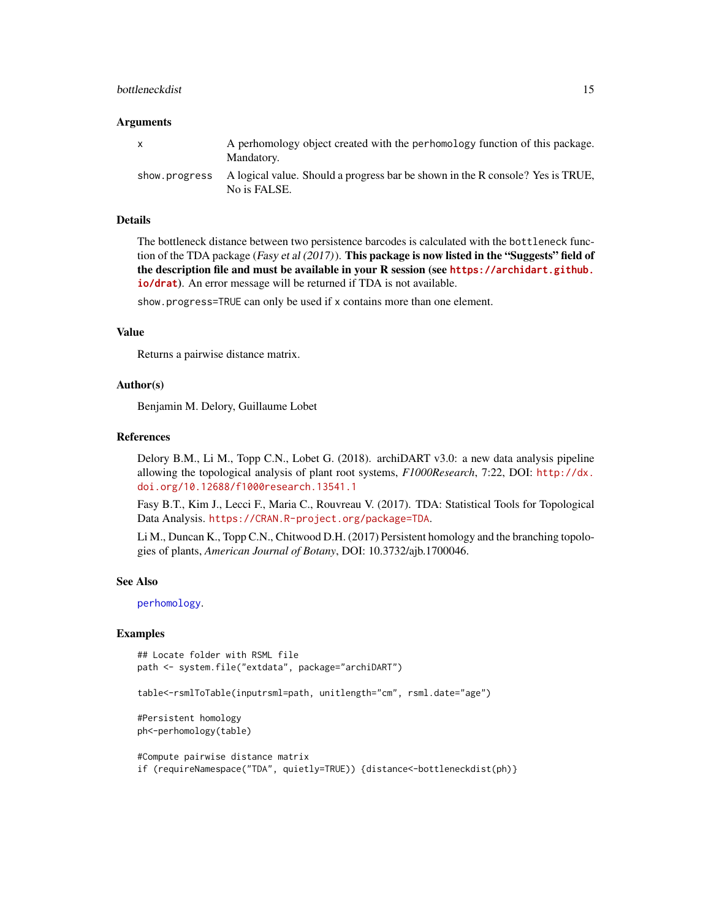# <span id="page-14-0"></span>bottleneckdist 15

#### **Arguments**

| A perhomology object created with the perhomology function of this package.<br>Mandatory.                    |
|--------------------------------------------------------------------------------------------------------------|
| show progress A logical value. Should a progress bar be shown in the R console? Yes is TRUE,<br>No is FALSE. |

# Details

The bottleneck distance between two persistence barcodes is calculated with the bottleneck function of the TDA package (Fasy et al  $(2017)$ ). This package is now listed in the "Suggests" field of the description file and must be available in your R session (see **[https://archidart.github.](https://archidart.github.io/drat) [io/drat](https://archidart.github.io/drat)**). An error message will be returned if TDA is not available.

show.progress=TRUE can only be used if x contains more than one element.

# Value

Returns a pairwise distance matrix.

# Author(s)

Benjamin M. Delory, Guillaume Lobet

#### References

Delory B.M., Li M., Topp C.N., Lobet G. (2018). archiDART v3.0: a new data analysis pipeline allowing the topological analysis of plant root systems, *F1000Research*, 7:22, DOI: [http://dx.](http://dx.doi.org/10.12688/f1000research.13541.1) [doi.org/10.12688/f1000research.13541.1](http://dx.doi.org/10.12688/f1000research.13541.1)

Fasy B.T., Kim J., Lecci F., Maria C., Rouvreau V. (2017). TDA: Statistical Tools for Topological Data Analysis. <https://CRAN.R-project.org/package=TDA>.

Li M., Duncan K., Topp C.N., Chitwood D.H. (2017) Persistent homology and the branching topologies of plants, *American Journal of Botany*, DOI: 10.3732/ajb.1700046.

### See Also

[perhomology](#page-20-1).

#### Examples

## Locate folder with RSML file path <- system.file("extdata", package="archiDART")

table<-rsmlToTable(inputrsml=path, unitlength="cm", rsml.date="age")

#Persistent homology ph<-perhomology(table)

#Compute pairwise distance matrix if (requireNamespace("TDA", quietly=TRUE)) {distance<-bottleneckdist(ph)}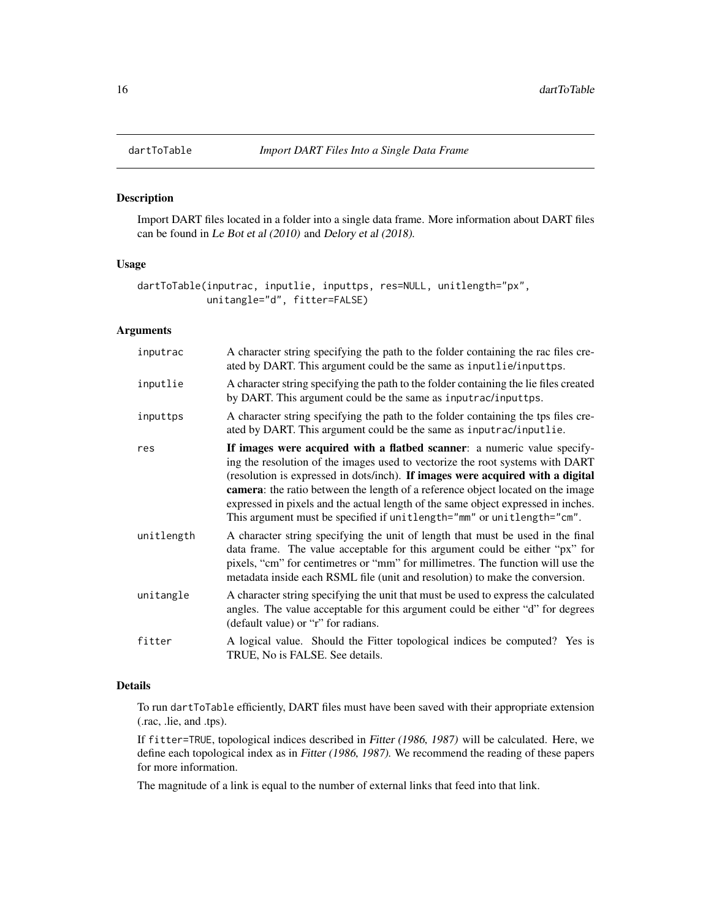# Description

Import DART files located in a folder into a single data frame. More information about DART files can be found in Le Bot et al (2010) and Delory et al (2018).

# Usage

```
dartToTable(inputrac, inputlie, inputtps, res=NULL, unitlength="px",
            unitangle="d", fitter=FALSE)
```
# Arguments

| inputrac   | A character string specifying the path to the folder containing the rac files cre-<br>ated by DART. This argument could be the same as inputlie/inputtps.                                                                                                                                                                                                                                                                                                                                     |
|------------|-----------------------------------------------------------------------------------------------------------------------------------------------------------------------------------------------------------------------------------------------------------------------------------------------------------------------------------------------------------------------------------------------------------------------------------------------------------------------------------------------|
| inputlie   | A character string specifying the path to the folder containing the lie files created<br>by DART. This argument could be the same as inputrac/inputtps.                                                                                                                                                                                                                                                                                                                                       |
| inputtps   | A character string specifying the path to the folder containing the tps files cre-<br>ated by DART. This argument could be the same as inputrac/inputlie.                                                                                                                                                                                                                                                                                                                                     |
| res        | If images were acquired with a flatbed scanner: a numeric value specify-<br>ing the resolution of the images used to vectorize the root systems with DART<br>(resolution is expressed in dots/inch). If images were acquired with a digital<br>camera: the ratio between the length of a reference object located on the image<br>expressed in pixels and the actual length of the same object expressed in inches.<br>This argument must be specified if unitlength="mm" or unitlength="cm". |
| unitlength | A character string specifying the unit of length that must be used in the final<br>data frame. The value acceptable for this argument could be either "px" for<br>pixels, "cm" for centimetres or "mm" for millimetres. The function will use the<br>metadata inside each RSML file (unit and resolution) to make the conversion.                                                                                                                                                             |
| unitangle  | A character string specifying the unit that must be used to express the calculated<br>angles. The value acceptable for this argument could be either "d" for degrees<br>(default value) or "r" for radians.                                                                                                                                                                                                                                                                                   |
| fitter     | A logical value. Should the Fitter topological indices be computed? Yes is<br>TRUE, No is FALSE. See details.                                                                                                                                                                                                                                                                                                                                                                                 |
|            |                                                                                                                                                                                                                                                                                                                                                                                                                                                                                               |

# Details

To run dartToTable efficiently, DART files must have been saved with their appropriate extension (.rac, .lie, and .tps).

If fitter=TRUE, topological indices described in Fitter (1986, 1987) will be calculated. Here, we define each topological index as in Fitter (1986, 1987). We recommend the reading of these papers for more information.

The magnitude of a link is equal to the number of external links that feed into that link.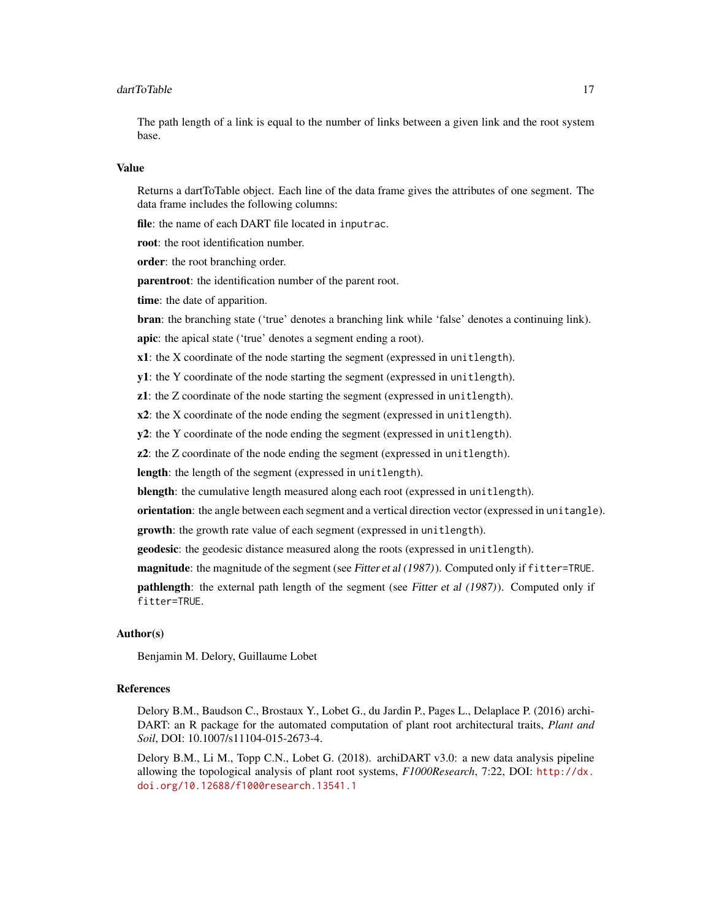#### dartToTable 17

The path length of a link is equal to the number of links between a given link and the root system base.

#### Value

Returns a dartToTable object. Each line of the data frame gives the attributes of one segment. The data frame includes the following columns:

file: the name of each DART file located in inputrac.

root: the root identification number.

order: the root branching order.

parentroot: the identification number of the parent root.

time: the date of apparition.

bran: the branching state ('true' denotes a branching link while 'false' denotes a continuing link).

apic: the apical state ('true' denotes a segment ending a root).

x1: the X coordinate of the node starting the segment (expressed in unitlength).

y1: the Y coordinate of the node starting the segment (expressed in unitlength).

z1: the Z coordinate of the node starting the segment (expressed in unitlength).

 $x2$ : the X coordinate of the node ending the segment (expressed in unitlength).

y2: the Y coordinate of the node ending the segment (expressed in unitlength).

z2: the Z coordinate of the node ending the segment (expressed in unitlength).

length: the length of the segment (expressed in unitlength).

blength: the cumulative length measured along each root (expressed in unitlength).

orientation: the angle between each segment and a vertical direction vector (expressed in unitangle).

growth: the growth rate value of each segment (expressed in unitlength).

geodesic: the geodesic distance measured along the roots (expressed in unitlength).

magnitude: the magnitude of the segment (see Fitter et al (1987)). Computed only if fitter=TRUE.

**pathlength**: the external path length of the segment (see Fitter et al (1987)). Computed only if fitter=TRUE.

# Author(s)

Benjamin M. Delory, Guillaume Lobet

# References

Delory B.M., Baudson C., Brostaux Y., Lobet G., du Jardin P., Pages L., Delaplace P. (2016) archi-DART: an R package for the automated computation of plant root architectural traits, *Plant and Soil*, DOI: 10.1007/s11104-015-2673-4.

Delory B.M., Li M., Topp C.N., Lobet G. (2018). archiDART v3.0: a new data analysis pipeline allowing the topological analysis of plant root systems, *F1000Research*, 7:22, DOI: [http://dx.](http://dx.doi.org/10.12688/f1000research.13541.1) [doi.org/10.12688/f1000research.13541.1](http://dx.doi.org/10.12688/f1000research.13541.1)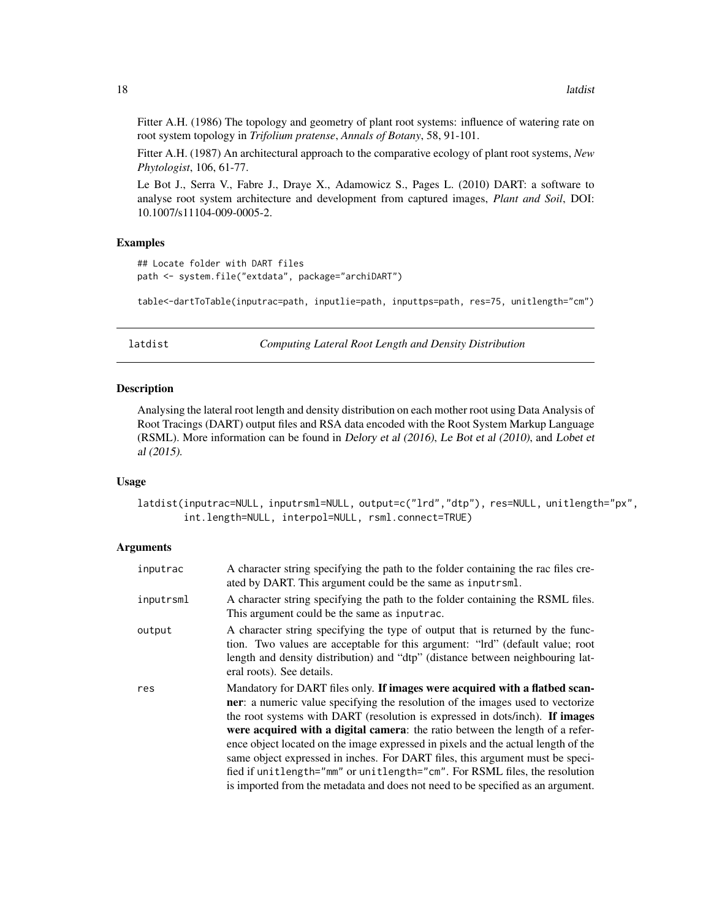Fitter A.H. (1986) The topology and geometry of plant root systems: influence of watering rate on root system topology in *Trifolium pratense*, *Annals of Botany*, 58, 91-101.

Fitter A.H. (1987) An architectural approach to the comparative ecology of plant root systems, *New Phytologist*, 106, 61-77.

Le Bot J., Serra V., Fabre J., Draye X., Adamowicz S., Pages L. (2010) DART: a software to analyse root system architecture and development from captured images, *Plant and Soil*, DOI: 10.1007/s11104-009-0005-2.

# Examples

```
## Locate folder with DART files
path <- system.file("extdata", package="archiDART")
```
table<-dartToTable(inputrac=path, inputlie=path, inputtps=path, res=75, unitlength="cm")

latdist *Computing Lateral Root Length and Density Distribution*

# Description

Analysing the lateral root length and density distribution on each mother root using Data Analysis of Root Tracings (DART) output files and RSA data encoded with the Root System Markup Language (RSML). More information can be found in Delory et al (2016), Le Bot et al (2010), and Lobet et al (2015).

### Usage

latdist(inputrac=NULL, inputrsml=NULL, output=c("lrd","dtp"), res=NULL, unitlength="px", int.length=NULL, interpol=NULL, rsml.connect=TRUE)

# Arguments

| inputrac  | A character string specifying the path to the folder containing the rac files cre-<br>ated by DART. This argument could be the same as inputrsml.                                                                                                                                                                                                                                                                                                                                                                                                                                                                                                                             |
|-----------|-------------------------------------------------------------------------------------------------------------------------------------------------------------------------------------------------------------------------------------------------------------------------------------------------------------------------------------------------------------------------------------------------------------------------------------------------------------------------------------------------------------------------------------------------------------------------------------------------------------------------------------------------------------------------------|
| inputrsml | A character string specifying the path to the folder containing the RSML files.<br>This argument could be the same as inputrac.                                                                                                                                                                                                                                                                                                                                                                                                                                                                                                                                               |
| output    | A character string specifying the type of output that is returned by the func-<br>tion. Two values are acceptable for this argument: "Ird" (default value; root<br>length and density distribution) and "dtp" (distance between neighbouring lat-<br>eral roots). See details.                                                                                                                                                                                                                                                                                                                                                                                                |
| res       | Mandatory for DART files only. If images were acquired with a flatbed scan-<br><b>ner</b> : a numeric value specifying the resolution of the images used to vectorize<br>the root systems with DART (resolution is expressed in dots/inch). If images<br>were acquired with a digital camera: the ratio between the length of a refer-<br>ence object located on the image expressed in pixels and the actual length of the<br>same object expressed in inches. For DART files, this argument must be speci-<br>fied if unitlength="mm" or unitlength="cm". For RSML files, the resolution<br>is imported from the metadata and does not need to be specified as an argument. |

<span id="page-17-0"></span>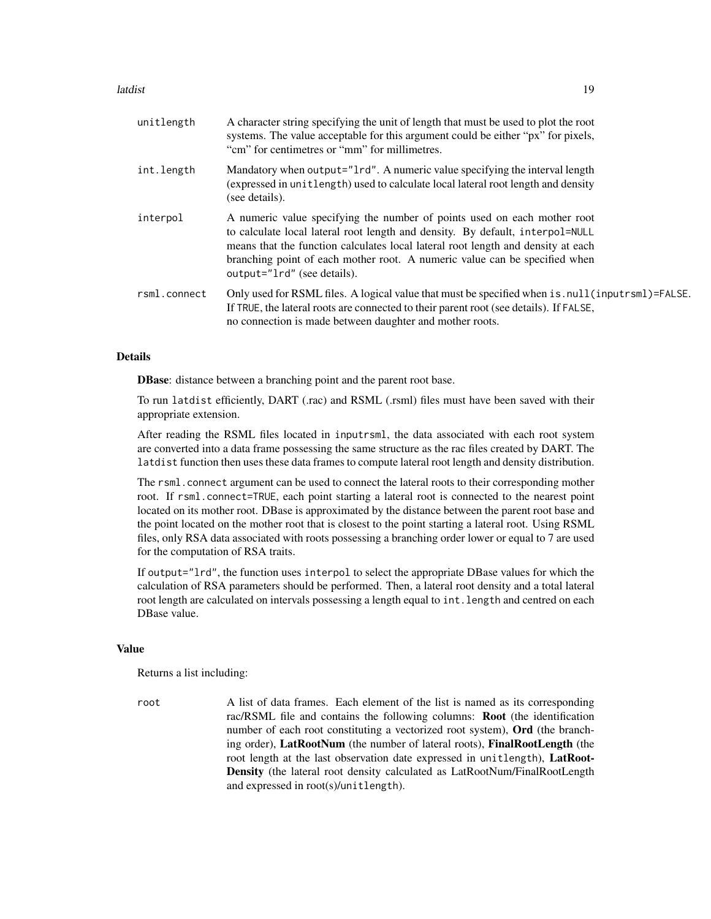#### latdist the contract of the contract of the contract of the contract of the contract of the contract of the contract of the contract of the contract of the contract of the contract of the contract of the contract of the co

| unitlength   | A character string specifying the unit of length that must be used to plot the root<br>systems. The value acceptable for this argument could be either "px" for pixels,<br>"cm" for centimetres or "mm" for millimetres.                                                                                                                                   |
|--------------|------------------------------------------------------------------------------------------------------------------------------------------------------------------------------------------------------------------------------------------------------------------------------------------------------------------------------------------------------------|
| int.length   | Mandatory when output="1rd". A numeric value specifying the interval length<br>(expressed in unitlength) used to calculate local lateral root length and density<br>(see details).                                                                                                                                                                         |
| interpol     | A numeric value specifying the number of points used on each mother root<br>to calculate local lateral root length and density. By default, interpol=NULL<br>means that the function calculates local lateral root length and density at each<br>branching point of each mother root. A numeric value can be specified when<br>output="1rd" (see details). |
| rsml.connect | Only used for RSML files. A logical value that must be specified when is . null (input rsml)=FALSE.<br>If TRUE, the lateral roots are connected to their parent root (see details). If FALSE,<br>no connection is made between daughter and mother roots.                                                                                                  |

# Details

DBase: distance between a branching point and the parent root base.

To run latdist efficiently, DART (.rac) and RSML (.rsml) files must have been saved with their appropriate extension.

After reading the RSML files located in inputrsml, the data associated with each root system are converted into a data frame possessing the same structure as the rac files created by DART. The latdist function then uses these data frames to compute lateral root length and density distribution.

The rsml.connect argument can be used to connect the lateral roots to their corresponding mother root. If rsml.connect=TRUE, each point starting a lateral root is connected to the nearest point located on its mother root. DBase is approximated by the distance between the parent root base and the point located on the mother root that is closest to the point starting a lateral root. Using RSML files, only RSA data associated with roots possessing a branching order lower or equal to 7 are used for the computation of RSA traits.

If output="lrd", the function uses interpol to select the appropriate DBase values for which the calculation of RSA parameters should be performed. Then, a lateral root density and a total lateral root length are calculated on intervals possessing a length equal to int.length and centred on each DBase value.

#### Value

Returns a list including:

root A list of data frames. Each element of the list is named as its corresponding rac/RSML file and contains the following columns: Root (the identification number of each root constituting a vectorized root system), Ord (the branching order), LatRootNum (the number of lateral roots), FinalRootLength (the root length at the last observation date expressed in unitlength), LatRoot-Density (the lateral root density calculated as LatRootNum/FinalRootLength and expressed in root(s)/unitlength).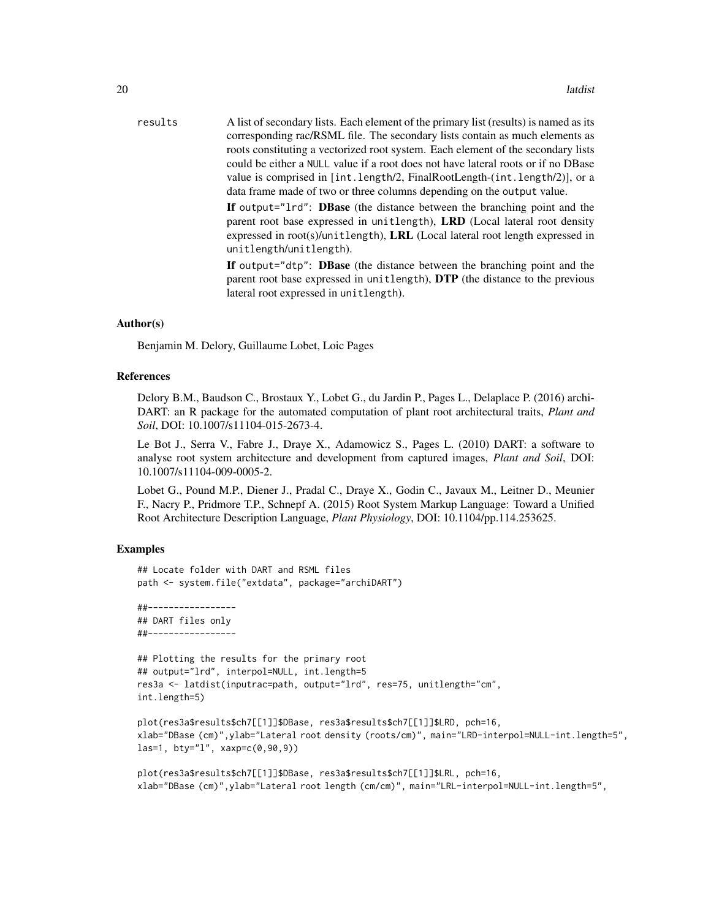| results | A list of secondary lists. Each element of the primary list (results) is named as its                                                                                                                                                                              |
|---------|--------------------------------------------------------------------------------------------------------------------------------------------------------------------------------------------------------------------------------------------------------------------|
|         | corresponding rac/RSML file. The secondary lists contain as much elements as                                                                                                                                                                                       |
|         | roots constituting a vectorized root system. Each element of the secondary lists                                                                                                                                                                                   |
|         | could be either a NULL value if a root does not have lateral roots or if no DBase                                                                                                                                                                                  |
|         | value is comprised in $[int.length/2, FinalRootLength(int.length/2)],$ or a                                                                                                                                                                                        |
|         | data frame made of two or three columns depending on the output value.                                                                                                                                                                                             |
|         | If output="1rd": DBase (the distance between the branching point and the<br>parent root base expressed in unitlength), LRD (Local lateral root density<br>expressed in root(s)/unitlength), LRL (Local lateral root length expressed in<br>unitlength/unitlength). |
|         | If output="dtp": DBase (the distance between the branching point and the<br>parent root base expressed in unitlength), DTP (the distance to the previous<br>lateral root expressed in unitlength).                                                                 |
|         |                                                                                                                                                                                                                                                                    |

# Author(s)

Benjamin M. Delory, Guillaume Lobet, Loic Pages

# References

Delory B.M., Baudson C., Brostaux Y., Lobet G., du Jardin P., Pages L., Delaplace P. (2016) archi-DART: an R package for the automated computation of plant root architectural traits, *Plant and Soil*, DOI: 10.1007/s11104-015-2673-4.

Le Bot J., Serra V., Fabre J., Draye X., Adamowicz S., Pages L. (2010) DART: a software to analyse root system architecture and development from captured images, *Plant and Soil*, DOI: 10.1007/s11104-009-0005-2.

Lobet G., Pound M.P., Diener J., Pradal C., Draye X., Godin C., Javaux M., Leitner D., Meunier F., Nacry P., Pridmore T.P., Schnepf A. (2015) Root System Markup Language: Toward a Unified Root Architecture Description Language, *Plant Physiology*, DOI: 10.1104/pp.114.253625.

# Examples

```
## Locate folder with DART and RSML files
path <- system.file("extdata", package="archiDART")
```
##----------------- ## DART files only ##-----------------

```
## Plotting the results for the primary root
## output="lrd", interpol=NULL, int.length=5
res3a <- latdist(inputrac=path, output="lrd", res=75, unitlength="cm",
int.length=5)
```

```
plot(res3a$results$ch7[[1]]$DBase, res3a$results$ch7[[1]]$LRD, pch=16,
xlab="DBase (cm)",ylab="Lateral root density (roots/cm)", main="LRD-interpol=NULL-int.length=5",
las=1, bty="l", xaxp=c(0,90,9))
```

```
plot(res3a$results$ch7[[1]]$DBase, res3a$results$ch7[[1]]$LRL, pch=16,
xlab="DBase (cm)",ylab="Lateral root length (cm/cm)", main="LRL-interpol=NULL-int.length=5",
```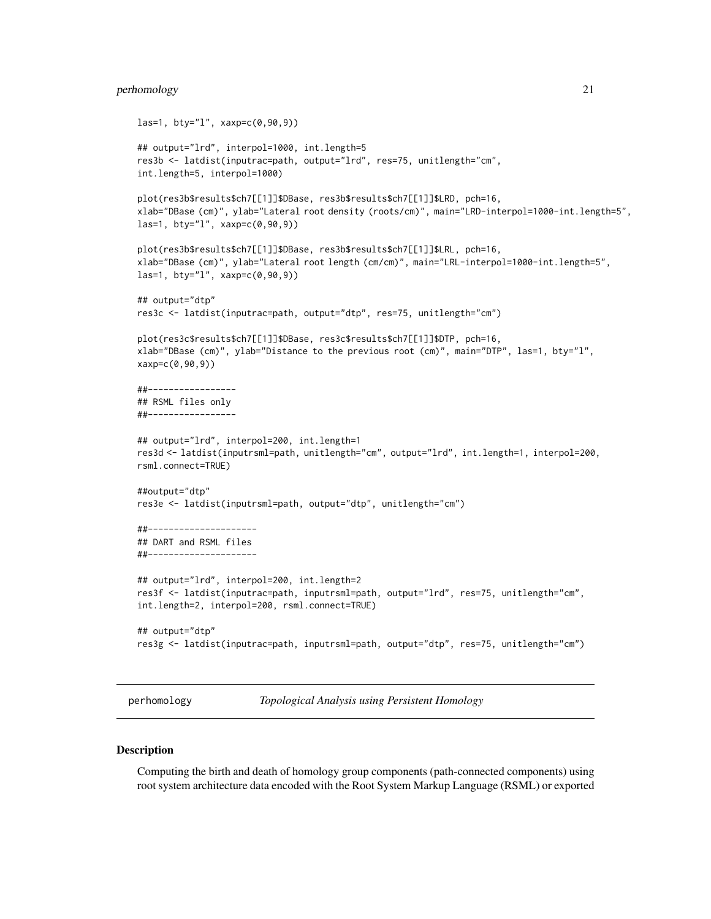# <span id="page-20-0"></span>perhomology 21

```
las=1, bty="l", xaxp=c(0,90,9))
## output="lrd", interpol=1000, int.length=5
res3b <- latdist(inputrac=path, output="lrd", res=75, unitlength="cm",
int.length=5, interpol=1000)
plot(res3b$results$ch7[[1]]$DBase, res3b$results$ch7[[1]]$LRD, pch=16,
xlab="DBase (cm)", ylab="Lateral root density (roots/cm)", main="LRD-interpol=1000-int.length=5",
las=1, bty="1", xaxp=c(0,90,9))plot(res3b$results$ch7[[1]]$DBase, res3b$results$ch7[[1]]$LRL, pch=16,
xlab="DBase (cm)", ylab="Lateral root length (cm/cm)", main="LRL-interpol=1000-int.length=5",
las=1, bty="l", xaxp=c(0,90,9))
## output="dtp"
res3c <- latdist(inputrac=path, output="dtp", res=75, unitlength="cm")
plot(res3c$results$ch7[[1]]$DBase, res3c$results$ch7[[1]]$DTP, pch=16,
xlab="DBase (cm)", ylab="Distance to the previous root (cm)", main="DTP", las=1, bty="l",
xaxp=c(0,90,9))
##-----------------
## RSML files only
##-----------------
## output="lrd", interpol=200, int.length=1
res3d <- latdist(inputrsml=path, unitlength="cm", output="lrd", int.length=1, interpol=200,
rsml.connect=TRUE)
##output="dtp"
res3e <- latdist(inputrsml=path, output="dtp", unitlength="cm")
##---------------------
## DART and RSML files
##---------------------
## output="lrd", interpol=200, int.length=2
res3f <- latdist(inputrac=path, inputrsml=path, output="lrd", res=75, unitlength="cm",
int.length=2, interpol=200, rsml.connect=TRUE)
## output="dtp"
res3g <- latdist(inputrac=path, inputrsml=path, output="dtp", res=75, unitlength="cm")
```
<span id="page-20-1"></span>perhomology *Topological Analysis using Persistent Homology*

#### **Description**

Computing the birth and death of homology group components (path-connected components) using root system architecture data encoded with the Root System Markup Language (RSML) or exported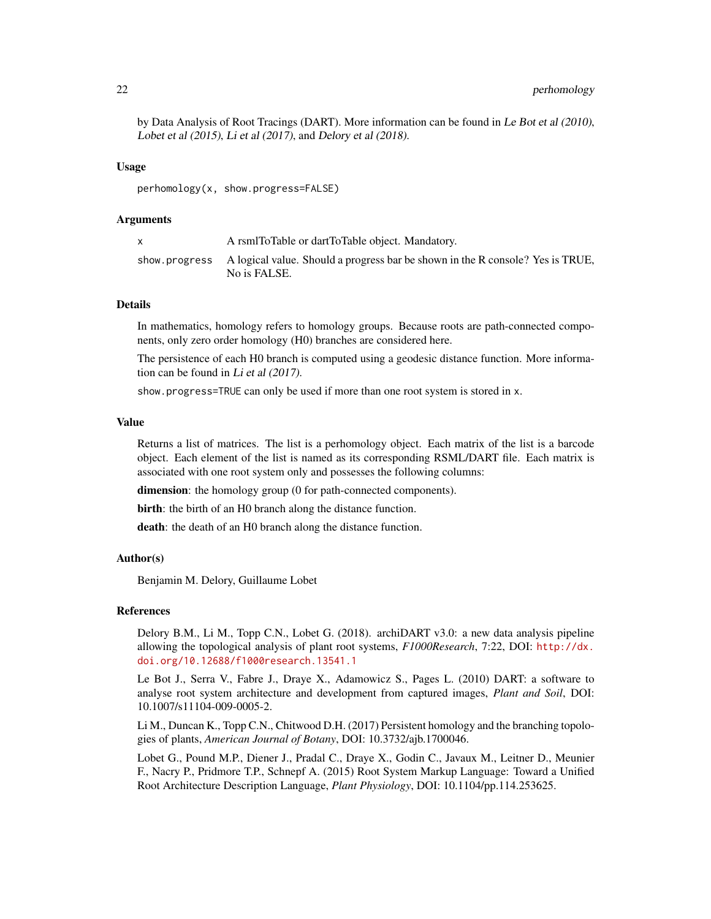by Data Analysis of Root Tracings (DART). More information can be found in Le Bot et al (2010), Lobet et al (2015), Li et al (2017), and Delory et al (2018).

# Usage

perhomology(x, show.progress=FALSE)

#### Arguments

| A rsmlToTable or dartToTable object. Mandatory.                                                              |
|--------------------------------------------------------------------------------------------------------------|
| show progress A logical value. Should a progress bar be shown in the R console? Yes is TRUE,<br>No is FALSE. |

# **Details**

In mathematics, homology refers to homology groups. Because roots are path-connected components, only zero order homology (H0) branches are considered here.

The persistence of each H0 branch is computed using a geodesic distance function. More information can be found in Li et al (2017).

show.progress=TRUE can only be used if more than one root system is stored in x.

#### Value

Returns a list of matrices. The list is a perhomology object. Each matrix of the list is a barcode object. Each element of the list is named as its corresponding RSML/DART file. Each matrix is associated with one root system only and possesses the following columns:

dimension: the homology group (0 for path-connected components).

birth: the birth of an H0 branch along the distance function.

death: the death of an H0 branch along the distance function.

# Author(s)

Benjamin M. Delory, Guillaume Lobet

# References

Delory B.M., Li M., Topp C.N., Lobet G. (2018). archiDART v3.0: a new data analysis pipeline allowing the topological analysis of plant root systems, *F1000Research*, 7:22, DOI: [http://dx.](http://dx.doi.org/10.12688/f1000research.13541.1) [doi.org/10.12688/f1000research.13541.1](http://dx.doi.org/10.12688/f1000research.13541.1)

Le Bot J., Serra V., Fabre J., Draye X., Adamowicz S., Pages L. (2010) DART: a software to analyse root system architecture and development from captured images, *Plant and Soil*, DOI: 10.1007/s11104-009-0005-2.

Li M., Duncan K., Topp C.N., Chitwood D.H. (2017) Persistent homology and the branching topologies of plants, *American Journal of Botany*, DOI: 10.3732/ajb.1700046.

Lobet G., Pound M.P., Diener J., Pradal C., Draye X., Godin C., Javaux M., Leitner D., Meunier F., Nacry P., Pridmore T.P., Schnepf A. (2015) Root System Markup Language: Toward a Unified Root Architecture Description Language, *Plant Physiology*, DOI: 10.1104/pp.114.253625.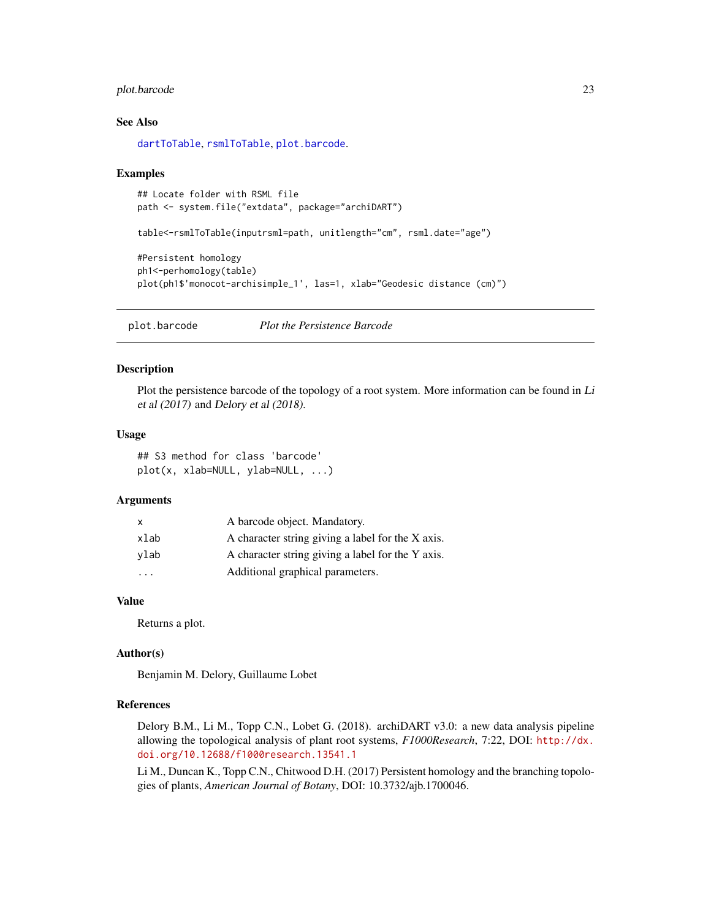# <span id="page-22-0"></span>plot.barcode 23

# See Also

[dartToTable](#page-15-1), [rsmlToTable](#page-25-1), [plot.barcode](#page-22-1).

#### Examples

```
## Locate folder with RSML file
path <- system.file("extdata", package="archiDART")
table<-rsmlToTable(inputrsml=path, unitlength="cm", rsml.date="age")
#Persistent homology
ph1<-perhomology(table)
plot(ph1$'monocot-archisimple_1', las=1, xlab="Geodesic distance (cm)")
```
<span id="page-22-1"></span>plot.barcode *Plot the Persistence Barcode*

# Description

Plot the persistence barcode of the topology of a root system. More information can be found in Li et al (2017) and Delory et al (2018).

#### Usage

## S3 method for class 'barcode' plot(x, xlab=NULL, ylab=NULL, ...)

# Arguments

| x                       | A barcode object. Mandatory.                      |
|-------------------------|---------------------------------------------------|
| xlab                    | A character string giving a label for the X axis. |
| ylab                    | A character string giving a label for the Y axis. |
| $\cdot$ $\cdot$ $\cdot$ | Additional graphical parameters.                  |

# Value

Returns a plot.

#### Author(s)

Benjamin M. Delory, Guillaume Lobet

# References

Delory B.M., Li M., Topp C.N., Lobet G. (2018). archiDART v3.0: a new data analysis pipeline allowing the topological analysis of plant root systems, *F1000Research*, 7:22, DOI: [http://dx.](http://dx.doi.org/10.12688/f1000research.13541.1) [doi.org/10.12688/f1000research.13541.1](http://dx.doi.org/10.12688/f1000research.13541.1)

Li M., Duncan K., Topp C.N., Chitwood D.H. (2017) Persistent homology and the branching topologies of plants, *American Journal of Botany*, DOI: 10.3732/ajb.1700046.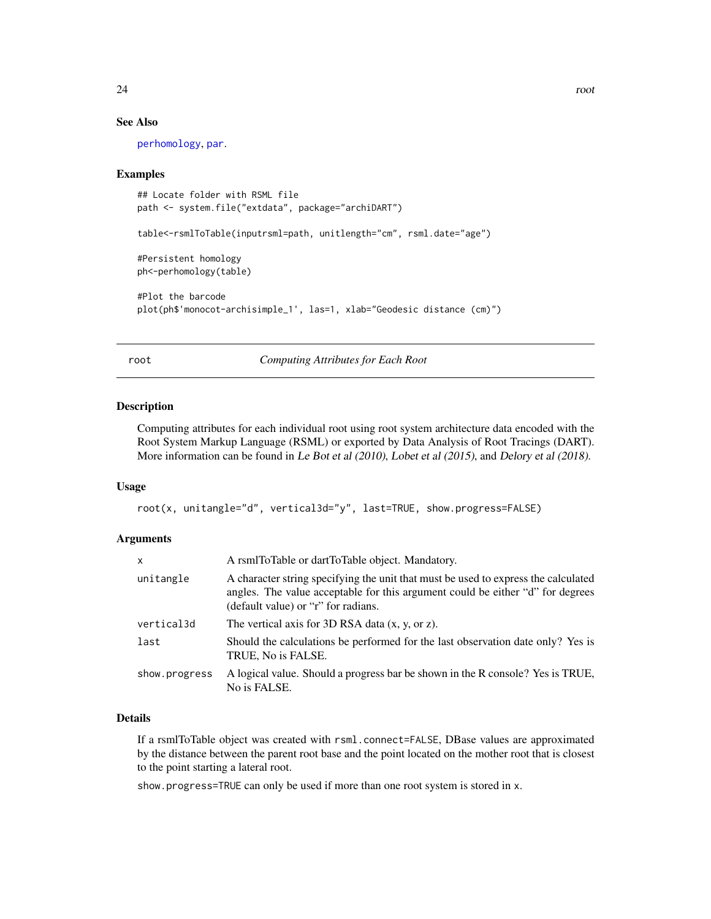# <span id="page-23-0"></span>See Also

[perhomology](#page-20-1), [par](#page-0-0).

# Examples

```
## Locate folder with RSML file
path <- system.file("extdata", package="archiDART")
table<-rsmlToTable(inputrsml=path, unitlength="cm", rsml.date="age")
#Persistent homology
ph<-perhomology(table)
#Plot the barcode
```

```
plot(ph$'monocot-archisimple_1', las=1, xlab="Geodesic distance (cm)")
```
#### root *Computing Attributes for Each Root*

# Description

Computing attributes for each individual root using root system architecture data encoded with the Root System Markup Language (RSML) or exported by Data Analysis of Root Tracings (DART). More information can be found in Le Bot et al (2010), Lobet et al (2015), and Delory et al (2018).

# Usage

```
root(x, unitangle="d", vertical3d="y", last=TRUE, show.progress=FALSE)
```
### **Arguments**

| x             | A rsmlToTable or dartToTable object. Mandatory.                                                                                                                                                             |
|---------------|-------------------------------------------------------------------------------------------------------------------------------------------------------------------------------------------------------------|
| unitangle     | A character string specifying the unit that must be used to express the calculated<br>angles. The value acceptable for this argument could be either "d" for degrees<br>(default value) or "r" for radians. |
| vertical3d    | The vertical axis for 3D RSA data $(x, y, or z)$ .                                                                                                                                                          |
| last          | Should the calculations be performed for the last observation date only? Yes is<br>TRUE, No is FALSE.                                                                                                       |
| show.progress | A logical value. Should a progress bar be shown in the R console? Yes is TRUE,<br>No is FALSE.                                                                                                              |

# Details

If a rsmlToTable object was created with rsml.connect=FALSE, DBase values are approximated by the distance between the parent root base and the point located on the mother root that is closest to the point starting a lateral root.

show.progress=TRUE can only be used if more than one root system is stored in x.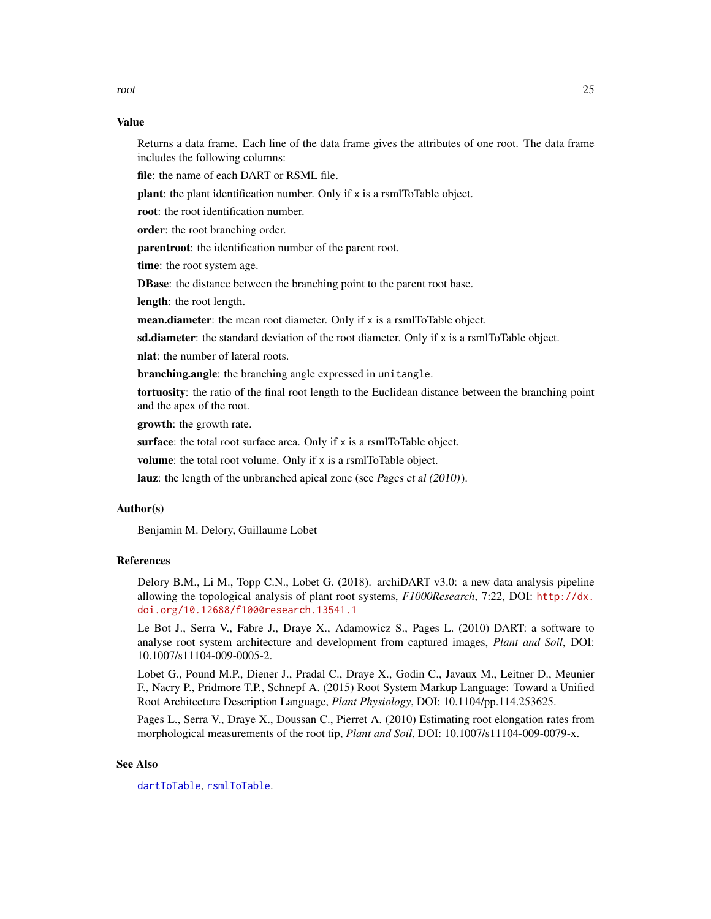<span id="page-24-0"></span>root 25

# Value

Returns a data frame. Each line of the data frame gives the attributes of one root. The data frame includes the following columns:

file: the name of each DART or RSML file.

plant: the plant identification number. Only if x is a rsmlToTable object.

root: the root identification number.

order: the root branching order.

parentroot: the identification number of the parent root.

time: the root system age.

**DBase:** the distance between the branching point to the parent root base.

length: the root length.

mean.diameter: the mean root diameter. Only if x is a rsmlToTable object.

sd.diameter: the standard deviation of the root diameter. Only if x is a rsmlToTable object.

nlat: the number of lateral roots.

branching.angle: the branching angle expressed in unitangle.

tortuosity: the ratio of the final root length to the Euclidean distance between the branching point and the apex of the root.

growth: the growth rate.

surface: the total root surface area. Only if x is a rsmlToTable object.

volume: the total root volume. Only if x is a rsmlToTable object.

lauz: the length of the unbranched apical zone (see Pages et al (2010)).

# Author(s)

Benjamin M. Delory, Guillaume Lobet

# References

Delory B.M., Li M., Topp C.N., Lobet G. (2018). archiDART v3.0: a new data analysis pipeline allowing the topological analysis of plant root systems, *F1000Research*, 7:22, DOI: [http://dx.](http://dx.doi.org/10.12688/f1000research.13541.1) [doi.org/10.12688/f1000research.13541.1](http://dx.doi.org/10.12688/f1000research.13541.1)

Le Bot J., Serra V., Fabre J., Draye X., Adamowicz S., Pages L. (2010) DART: a software to analyse root system architecture and development from captured images, *Plant and Soil*, DOI: 10.1007/s11104-009-0005-2.

Lobet G., Pound M.P., Diener J., Pradal C., Draye X., Godin C., Javaux M., Leitner D., Meunier F., Nacry P., Pridmore T.P., Schnepf A. (2015) Root System Markup Language: Toward a Unified Root Architecture Description Language, *Plant Physiology*, DOI: 10.1104/pp.114.253625.

Pages L., Serra V., Draye X., Doussan C., Pierret A. (2010) Estimating root elongation rates from morphological measurements of the root tip, *Plant and Soil*, DOI: 10.1007/s11104-009-0079-x.

# See Also

[dartToTable](#page-15-1), [rsmlToTable](#page-25-1).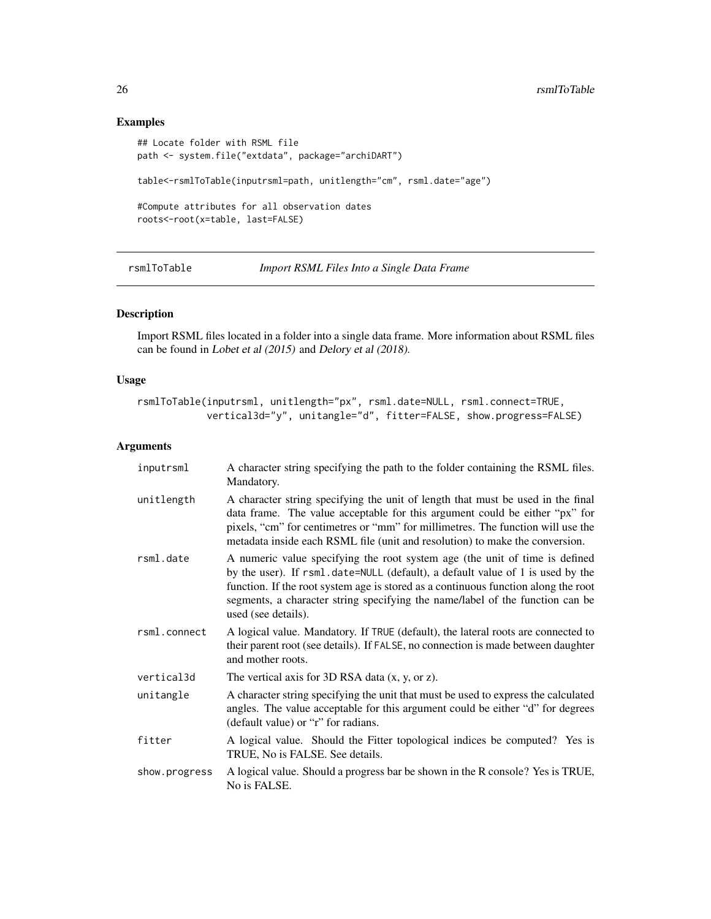# Examples

```
## Locate folder with RSML file
path <- system.file("extdata", package="archiDART")
table<-rsmlToTable(inputrsml=path, unitlength="cm", rsml.date="age")
#Compute attributes for all observation dates
roots<-root(x=table, last=FALSE)
```
<span id="page-25-1"></span>rsmlToTable *Import RSML Files Into a Single Data Frame*

# Description

Import RSML files located in a folder into a single data frame. More information about RSML files can be found in Lobet et al (2015) and Delory et al (2018).

# Usage

```
rsmlToTable(inputrsml, unitlength="px", rsml.date=NULL, rsml.connect=TRUE,
           vertical3d="y", unitangle="d", fitter=FALSE, show.progress=FALSE)
```
# Arguments

| inputrsml     | A character string specifying the path to the folder containing the RSML files.<br>Mandatory.                                                                                                                                                                                                                                                               |
|---------------|-------------------------------------------------------------------------------------------------------------------------------------------------------------------------------------------------------------------------------------------------------------------------------------------------------------------------------------------------------------|
| unitlength    | A character string specifying the unit of length that must be used in the final<br>data frame. The value acceptable for this argument could be either "px" for<br>pixels, "cm" for centimetres or "mm" for millimetres. The function will use the<br>metadata inside each RSML file (unit and resolution) to make the conversion.                           |
| rsml.date     | A numeric value specifying the root system age (the unit of time is defined<br>by the user). If rsml.date=NULL (default), a default value of 1 is used by the<br>function. If the root system age is stored as a continuous function along the root<br>segments, a character string specifying the name/label of the function can be<br>used (see details). |
| rsml.connect  | A logical value. Mandatory. If TRUE (default), the lateral roots are connected to<br>their parent root (see details). If FALSE, no connection is made between daughter<br>and mother roots.                                                                                                                                                                 |
| vertical3d    | The vertical axis for 3D RSA data $(x, y, or z)$ .                                                                                                                                                                                                                                                                                                          |
| unitangle     | A character string specifying the unit that must be used to express the calculated<br>angles. The value acceptable for this argument could be either "d" for degrees<br>(default value) or "r" for radians.                                                                                                                                                 |
| fitter        | A logical value. Should the Fitter topological indices be computed? Yes is<br>TRUE, No is FALSE. See details.                                                                                                                                                                                                                                               |
| show.progress | A logical value. Should a progress bar be shown in the R console? Yes is TRUE,<br>No is FALSE.                                                                                                                                                                                                                                                              |

<span id="page-25-0"></span>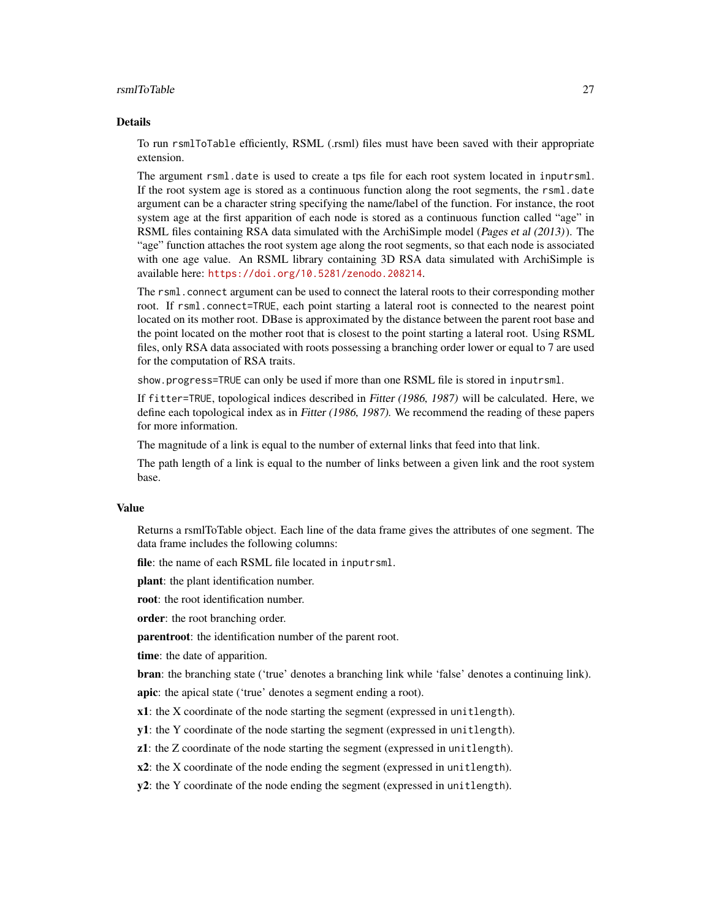#### rsmlToTable 27

#### Details

To run rsmlToTable efficiently, RSML (.rsml) files must have been saved with their appropriate extension.

The argument rsml.date is used to create a tps file for each root system located in inputrsml. If the root system age is stored as a continuous function along the root segments, the rsml.date argument can be a character string specifying the name/label of the function. For instance, the root system age at the first apparition of each node is stored as a continuous function called "age" in RSML files containing RSA data simulated with the ArchiSimple model (Pages et al (2013)). The "age" function attaches the root system age along the root segments, so that each node is associated with one age value. An RSML library containing 3D RSA data simulated with ArchiSimple is available here: <https://doi.org/10.5281/zenodo.208214>.

The rsml.connect argument can be used to connect the lateral roots to their corresponding mother root. If rsml.connect=TRUE, each point starting a lateral root is connected to the nearest point located on its mother root. DBase is approximated by the distance between the parent root base and the point located on the mother root that is closest to the point starting a lateral root. Using RSML files, only RSA data associated with roots possessing a branching order lower or equal to 7 are used for the computation of RSA traits.

show.progress=TRUE can only be used if more than one RSML file is stored in inputrsml.

If fitter=TRUE, topological indices described in Fitter (1986, 1987) will be calculated. Here, we define each topological index as in Fitter (1986, 1987). We recommend the reading of these papers for more information.

The magnitude of a link is equal to the number of external links that feed into that link.

The path length of a link is equal to the number of links between a given link and the root system base.

#### Value

Returns a rsmlToTable object. Each line of the data frame gives the attributes of one segment. The data frame includes the following columns:

file: the name of each RSML file located in inputrsml.

plant: the plant identification number.

root: the root identification number.

order: the root branching order.

parentroot: the identification number of the parent root.

time: the date of apparition.

bran: the branching state ('true' denotes a branching link while 'false' denotes a continuing link).

apic: the apical state ('true' denotes a segment ending a root).

x1: the X coordinate of the node starting the segment (expressed in unitlength).

y1: the Y coordinate of the node starting the segment (expressed in unitlength).

z1: the Z coordinate of the node starting the segment (expressed in unitlength).

x2: the X coordinate of the node ending the segment (expressed in unitlength).

y2: the Y coordinate of the node ending the segment (expressed in unitlength).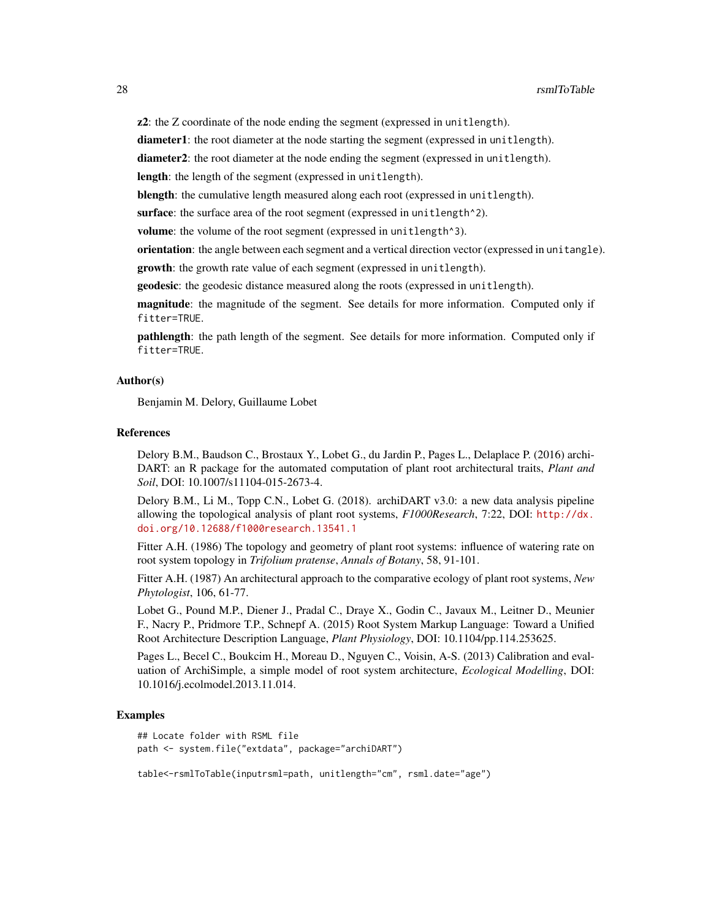z2: the Z coordinate of the node ending the segment (expressed in unitlength).

diameter1: the root diameter at the node starting the segment (expressed in unitlength).

diameter2: the root diameter at the node ending the segment (expressed in unitlength).

length: the length of the segment (expressed in unitlength).

blength: the cumulative length measured along each root (expressed in unitlength).

surface: the surface area of the root segment (expressed in unitlength<sup>^2</sup>).

volume: the volume of the root segment (expressed in unitlength<sup>3</sup>).

orientation: the angle between each segment and a vertical direction vector (expressed in unitangle).

growth: the growth rate value of each segment (expressed in unitlength).

geodesic: the geodesic distance measured along the roots (expressed in unitlength).

magnitude: the magnitude of the segment. See details for more information. Computed only if fitter=TRUE.

pathlength: the path length of the segment. See details for more information. Computed only if fitter=TRUE.

# Author(s)

Benjamin M. Delory, Guillaume Lobet

#### References

Delory B.M., Baudson C., Brostaux Y., Lobet G., du Jardin P., Pages L., Delaplace P. (2016) archi-DART: an R package for the automated computation of plant root architectural traits, *Plant and Soil*, DOI: 10.1007/s11104-015-2673-4.

Delory B.M., Li M., Topp C.N., Lobet G. (2018). archiDART v3.0: a new data analysis pipeline allowing the topological analysis of plant root systems, *F1000Research*, 7:22, DOI: [http://dx.](http://dx.doi.org/10.12688/f1000research.13541.1) [doi.org/10.12688/f1000research.13541.1](http://dx.doi.org/10.12688/f1000research.13541.1)

Fitter A.H. (1986) The topology and geometry of plant root systems: influence of watering rate on root system topology in *Trifolium pratense*, *Annals of Botany*, 58, 91-101.

Fitter A.H. (1987) An architectural approach to the comparative ecology of plant root systems, *New Phytologist*, 106, 61-77.

Lobet G., Pound M.P., Diener J., Pradal C., Draye X., Godin C., Javaux M., Leitner D., Meunier F., Nacry P., Pridmore T.P., Schnepf A. (2015) Root System Markup Language: Toward a Unified Root Architecture Description Language, *Plant Physiology*, DOI: 10.1104/pp.114.253625.

Pages L., Becel C., Boukcim H., Moreau D., Nguyen C., Voisin, A-S. (2013) Calibration and evaluation of ArchiSimple, a simple model of root system architecture, *Ecological Modelling*, DOI: 10.1016/j.ecolmodel.2013.11.014.

# Examples

```
## Locate folder with RSML file
path <- system.file("extdata", package="archiDART")
```
table<-rsmlToTable(inputrsml=path, unitlength="cm", rsml.date="age")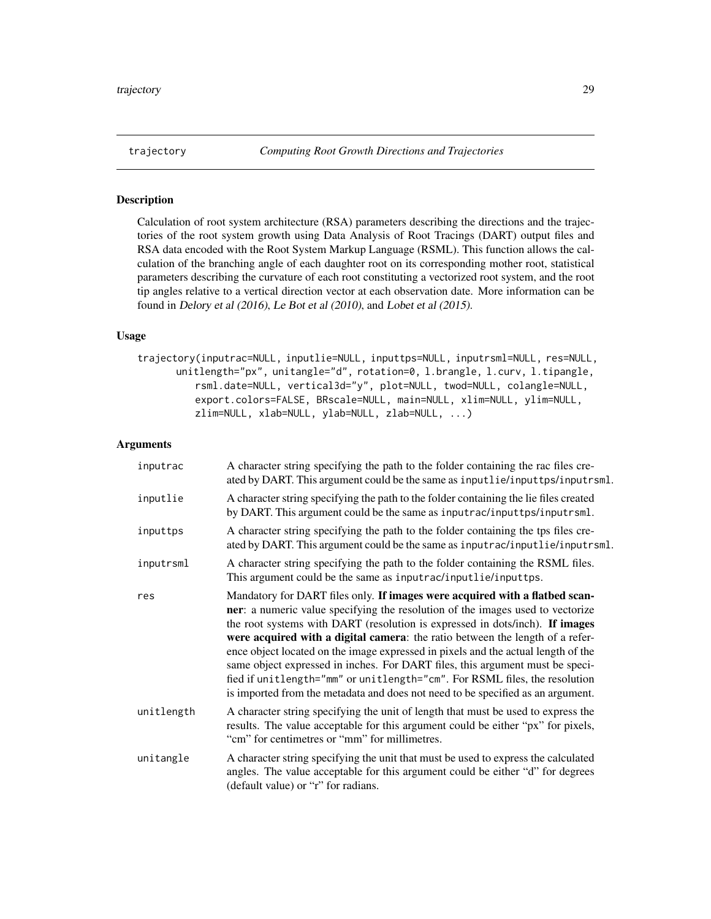<span id="page-28-0"></span>

# Description

Calculation of root system architecture (RSA) parameters describing the directions and the trajectories of the root system growth using Data Analysis of Root Tracings (DART) output files and RSA data encoded with the Root System Markup Language (RSML). This function allows the calculation of the branching angle of each daughter root on its corresponding mother root, statistical parameters describing the curvature of each root constituting a vectorized root system, and the root tip angles relative to a vertical direction vector at each observation date. More information can be found in Delory et al (2016), Le Bot et al (2010), and Lobet et al (2015).

# Usage

trajectory(inputrac=NULL, inputlie=NULL, inputtps=NULL, inputrsml=NULL, res=NULL, unitlength="px", unitangle="d", rotation=0, l.brangle, l.curv, l.tipangle, rsml.date=NULL, vertical3d="y", plot=NULL, twod=NULL, colangle=NULL, export.colors=FALSE, BRscale=NULL, main=NULL, xlim=NULL, ylim=NULL, zlim=NULL, xlab=NULL, ylab=NULL, zlab=NULL, ...)

# Arguments

| inputrac   | A character string specifying the path to the folder containing the rac files cre-<br>ated by DART. This argument could be the same as inputlie/inputtps/inputrsml.                                                                                                                                                                                                                                                                                                                                                                                                                                                                                                   |
|------------|-----------------------------------------------------------------------------------------------------------------------------------------------------------------------------------------------------------------------------------------------------------------------------------------------------------------------------------------------------------------------------------------------------------------------------------------------------------------------------------------------------------------------------------------------------------------------------------------------------------------------------------------------------------------------|
| inputlie   | A character string specifying the path to the folder containing the lie files created<br>by DART. This argument could be the same as inputrac/inputtps/inputrsml.                                                                                                                                                                                                                                                                                                                                                                                                                                                                                                     |
| inputtps   | A character string specifying the path to the folder containing the tps files cre-<br>ated by DART. This argument could be the same as inputrac/inputlie/inputrsml.                                                                                                                                                                                                                                                                                                                                                                                                                                                                                                   |
| inputrsml  | A character string specifying the path to the folder containing the RSML files.<br>This argument could be the same as inputrac/inputlie/inputtps.                                                                                                                                                                                                                                                                                                                                                                                                                                                                                                                     |
| res        | Mandatory for DART files only. If images were acquired with a flatbed scan-<br>ner: a numeric value specifying the resolution of the images used to vectorize<br>the root systems with DART (resolution is expressed in dots/inch). If images<br>were acquired with a digital camera: the ratio between the length of a refer-<br>ence object located on the image expressed in pixels and the actual length of the<br>same object expressed in inches. For DART files, this argument must be speci-<br>fied if unitlength="mm" or unitlength="cm". For RSML files, the resolution<br>is imported from the metadata and does not need to be specified as an argument. |
| unitlength | A character string specifying the unit of length that must be used to express the<br>results. The value acceptable for this argument could be either "px" for pixels,<br>"cm" for centimetres or "mm" for millimetres.                                                                                                                                                                                                                                                                                                                                                                                                                                                |
| unitangle  | A character string specifying the unit that must be used to express the calculated<br>angles. The value acceptable for this argument could be either "d" for degrees<br>(default value) or "r" for radians.                                                                                                                                                                                                                                                                                                                                                                                                                                                           |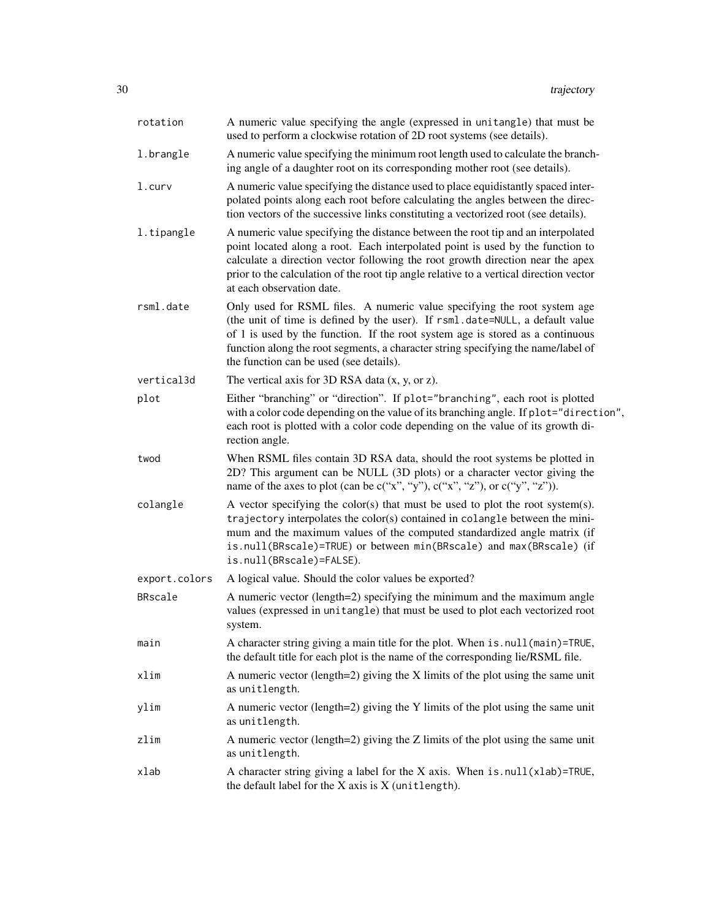| rotation      | A numeric value specifying the angle (expressed in unitangle) that must be<br>used to perform a clockwise rotation of 2D root systems (see details).                                                                                                                                                                                                                        |
|---------------|-----------------------------------------------------------------------------------------------------------------------------------------------------------------------------------------------------------------------------------------------------------------------------------------------------------------------------------------------------------------------------|
| 1.brangle     | A numeric value specifying the minimum root length used to calculate the branch-<br>ing angle of a daughter root on its corresponding mother root (see details).                                                                                                                                                                                                            |
| $l.$ curv     | A numeric value specifying the distance used to place equidistantly spaced inter-<br>polated points along each root before calculating the angles between the direc-<br>tion vectors of the successive links constituting a vectorized root (see details).                                                                                                                  |
| l.tipangle    | A numeric value specifying the distance between the root tip and an interpolated<br>point located along a root. Each interpolated point is used by the function to<br>calculate a direction vector following the root growth direction near the apex<br>prior to the calculation of the root tip angle relative to a vertical direction vector<br>at each observation date. |
| rsml.date     | Only used for RSML files. A numeric value specifying the root system age<br>(the unit of time is defined by the user). If rsml.date=NULL, a default value<br>of 1 is used by the function. If the root system age is stored as a continuous<br>function along the root segments, a character string specifying the name/label of<br>the function can be used (see details). |
| vertical3d    | The vertical axis for 3D RSA data $(x, y, or z)$ .                                                                                                                                                                                                                                                                                                                          |
| plot          | Either "branching" or "direction". If plot="branching", each root is plotted<br>with a color code depending on the value of its branching angle. If plot="direction",<br>each root is plotted with a color code depending on the value of its growth di-<br>rection angle.                                                                                                  |
| twod          | When RSML files contain 3D RSA data, should the root systems be plotted in<br>2D? This argument can be NULL (3D plots) or a character vector giving the<br>name of the axes to plot (can be $c("x", "y"), c("x", "z"),$ or $c("y", "z").$ ).                                                                                                                                |
| colangle      | A vector specifying the color(s) that must be used to plot the root system(s).<br>trajectory interpolates the color(s) contained in colangle between the mini-<br>mum and the maximum values of the computed standardized angle matrix (if<br>is.null(BRscale)=TRUE) or between min(BRscale) and max(BRscale) (if<br>is.null(BRscale)=FALSE).                               |
| export.colors | A logical value. Should the color values be exported?                                                                                                                                                                                                                                                                                                                       |
| BRscale       | A numeric vector (length=2) specifying the minimum and the maximum angle<br>values (expressed in unitangle) that must be used to plot each vectorized root<br>system.                                                                                                                                                                                                       |
| main          | A character string giving a main title for the plot. When is . null (main)=TRUE,<br>the default title for each plot is the name of the corresponding lie/RSML file.                                                                                                                                                                                                         |
| xlim          | A numeric vector (length=2) giving the $X$ limits of the plot using the same unit<br>as unitlength.                                                                                                                                                                                                                                                                         |
| ylim          | A numeric vector (length=2) giving the Y limits of the plot using the same unit<br>as unitlength.                                                                                                                                                                                                                                                                           |
| zlim          | A numeric vector (length=2) giving the Z limits of the plot using the same unit<br>as unitlength.                                                                                                                                                                                                                                                                           |
| xlab          | A character string giving a label for the X axis. When $is. null(xlab)$ =TRUE,<br>the default label for the $X$ axis is $X$ (unitlength).                                                                                                                                                                                                                                   |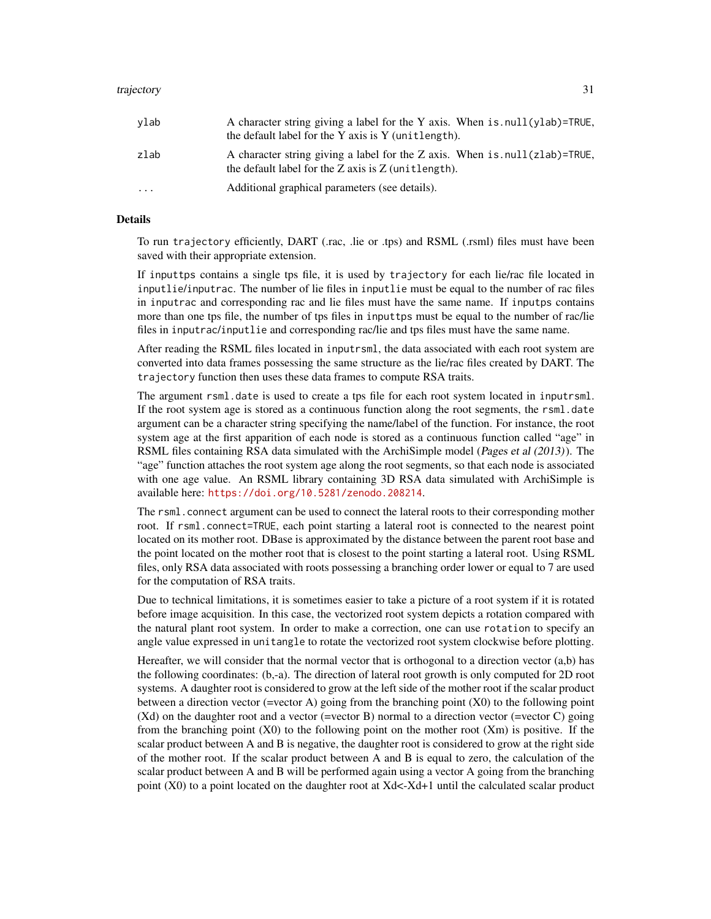#### trajectory 31

| vlab      | A character string giving a label for the Y axis. When is $null(ylab)$ =TRUE,<br>the default label for the Y axis is Y (unit length).     |
|-----------|-------------------------------------------------------------------------------------------------------------------------------------------|
| zlab      | A character string giving a label for the Z axis. When is $null(zlab)$ =TRUE,<br>the default label for the $Z$ axis is $Z$ (unit length). |
| $\ddotsc$ | Additional graphical parameters (see details).                                                                                            |

# Details

To run trajectory efficiently, DART (.rac, .lie or .tps) and RSML (.rsml) files must have been saved with their appropriate extension.

If inputtps contains a single tps file, it is used by trajectory for each lie/rac file located in inputlie/inputrac. The number of lie files in inputlie must be equal to the number of rac files in inputrac and corresponding rac and lie files must have the same name. If inputps contains more than one tps file, the number of tps files in inputtps must be equal to the number of rac/lie files in inputrac/inputlie and corresponding rac/lie and tps files must have the same name.

After reading the RSML files located in inputrsml, the data associated with each root system are converted into data frames possessing the same structure as the lie/rac files created by DART. The trajectory function then uses these data frames to compute RSA traits.

The argument rsml.date is used to create a tps file for each root system located in inputrsml. If the root system age is stored as a continuous function along the root segments, the rsml.date argument can be a character string specifying the name/label of the function. For instance, the root system age at the first apparition of each node is stored as a continuous function called "age" in RSML files containing RSA data simulated with the ArchiSimple model (Pages et al (2013)). The "age" function attaches the root system age along the root segments, so that each node is associated with one age value. An RSML library containing 3D RSA data simulated with ArchiSimple is available here: <https://doi.org/10.5281/zenodo.208214>.

The rsml.connect argument can be used to connect the lateral roots to their corresponding mother root. If rsml.connect=TRUE, each point starting a lateral root is connected to the nearest point located on its mother root. DBase is approximated by the distance between the parent root base and the point located on the mother root that is closest to the point starting a lateral root. Using RSML files, only RSA data associated with roots possessing a branching order lower or equal to 7 are used for the computation of RSA traits.

Due to technical limitations, it is sometimes easier to take a picture of a root system if it is rotated before image acquisition. In this case, the vectorized root system depicts a rotation compared with the natural plant root system. In order to make a correction, one can use rotation to specify an angle value expressed in unitangle to rotate the vectorized root system clockwise before plotting.

Hereafter, we will consider that the normal vector that is orthogonal to a direction vector (a,b) has the following coordinates: (b,-a). The direction of lateral root growth is only computed for 2D root systems. A daughter root is considered to grow at the left side of the mother root if the scalar product between a direction vector (=vector A) going from the branching point (X0) to the following point (Xd) on the daughter root and a vector (=vector B) normal to a direction vector (=vector C) going from the branching point  $(X0)$  to the following point on the mother root  $(Xm)$  is positive. If the scalar product between A and B is negative, the daughter root is considered to grow at the right side of the mother root. If the scalar product between A and B is equal to zero, the calculation of the scalar product between A and B will be performed again using a vector A going from the branching point (X0) to a point located on the daughter root at Xd<-Xd+1 until the calculated scalar product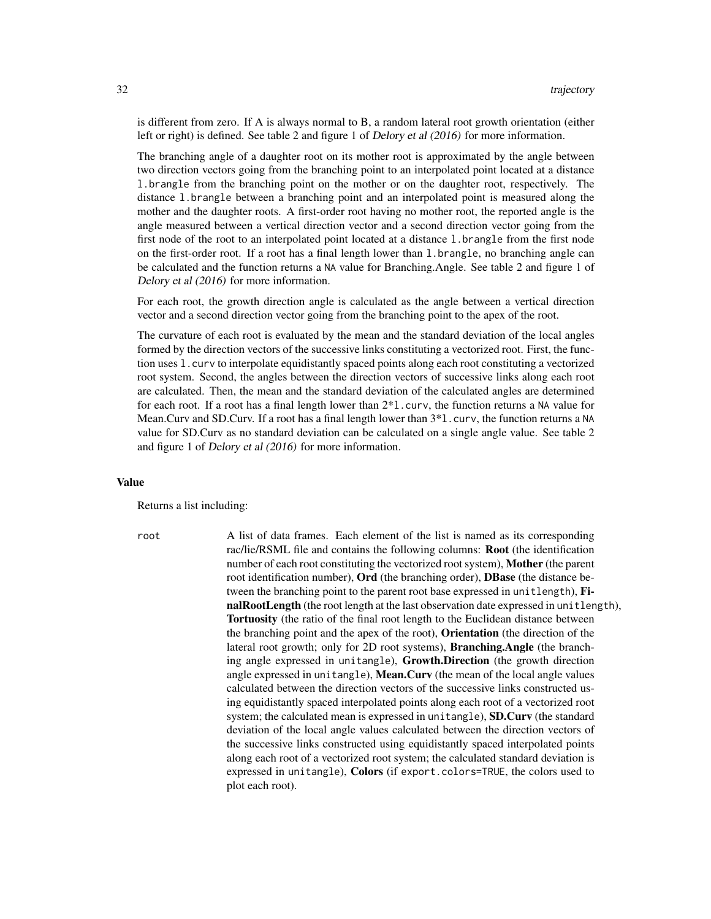is different from zero. If A is always normal to B, a random lateral root growth orientation (either left or right) is defined. See table 2 and figure 1 of Delory et al (2016) for more information.

The branching angle of a daughter root on its mother root is approximated by the angle between two direction vectors going from the branching point to an interpolated point located at a distance l.brangle from the branching point on the mother or on the daughter root, respectively. The distance l.brangle between a branching point and an interpolated point is measured along the mother and the daughter roots. A first-order root having no mother root, the reported angle is the angle measured between a vertical direction vector and a second direction vector going from the first node of the root to an interpolated point located at a distance l.brangle from the first node on the first-order root. If a root has a final length lower than l.brangle, no branching angle can be calculated and the function returns a NA value for Branching.Angle. See table 2 and figure 1 of Delory et al (2016) for more information.

For each root, the growth direction angle is calculated as the angle between a vertical direction vector and a second direction vector going from the branching point to the apex of the root.

The curvature of each root is evaluated by the mean and the standard deviation of the local angles formed by the direction vectors of the successive links constituting a vectorized root. First, the function uses l.curv to interpolate equidistantly spaced points along each root constituting a vectorized root system. Second, the angles between the direction vectors of successive links along each root are calculated. Then, the mean and the standard deviation of the calculated angles are determined for each root. If a root has a final length lower than 2\*l.curv, the function returns a NA value for Mean.Curv and SD.Curv. If a root has a final length lower than  $3*1$ .curv, the function returns a NA value for SD.Curv as no standard deviation can be calculated on a single angle value. See table 2 and figure 1 of Delory et al (2016) for more information.

#### Value

Returns a list including:

root A list of data frames. Each element of the list is named as its corresponding rac/lie/RSML file and contains the following columns: Root (the identification number of each root constituting the vectorized root system), Mother (the parent root identification number), Ord (the branching order), DBase (the distance between the branching point to the parent root base expressed in unitlength), FinalRootLength (the root length at the last observation date expressed in unitlength), Tortuosity (the ratio of the final root length to the Euclidean distance between the branching point and the apex of the root), Orientation (the direction of the lateral root growth; only for 2D root systems), Branching.Angle (the branching angle expressed in unitangle), Growth.Direction (the growth direction angle expressed in unitangle), Mean.Curv (the mean of the local angle values calculated between the direction vectors of the successive links constructed using equidistantly spaced interpolated points along each root of a vectorized root system; the calculated mean is expressed in unitangle), SD.Curv (the standard deviation of the local angle values calculated between the direction vectors of the successive links constructed using equidistantly spaced interpolated points along each root of a vectorized root system; the calculated standard deviation is expressed in unitangle), Colors (if export.colors=TRUE, the colors used to plot each root).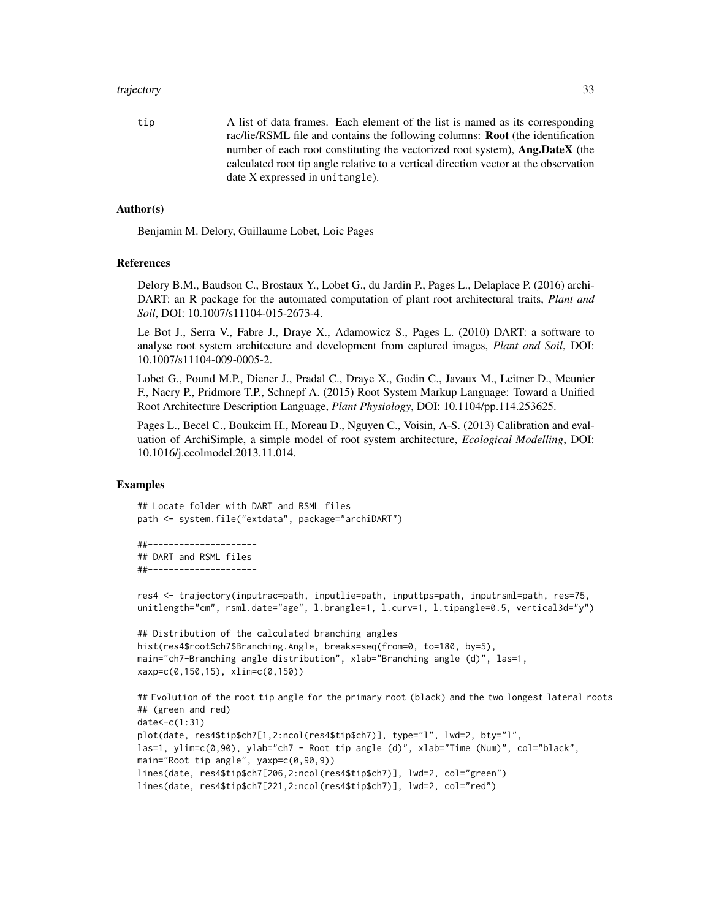#### trajectory 33

tip A list of data frames. Each element of the list is named as its corresponding rac/lie/RSML file and contains the following columns: Root (the identification number of each root constituting the vectorized root system), **Ang.DateX** (the calculated root tip angle relative to a vertical direction vector at the observation date X expressed in unitangle).

# Author(s)

Benjamin M. Delory, Guillaume Lobet, Loic Pages

# References

Delory B.M., Baudson C., Brostaux Y., Lobet G., du Jardin P., Pages L., Delaplace P. (2016) archi-DART: an R package for the automated computation of plant root architectural traits, *Plant and Soil*, DOI: 10.1007/s11104-015-2673-4.

Le Bot J., Serra V., Fabre J., Draye X., Adamowicz S., Pages L. (2010) DART: a software to analyse root system architecture and development from captured images, *Plant and Soil*, DOI: 10.1007/s11104-009-0005-2.

Lobet G., Pound M.P., Diener J., Pradal C., Draye X., Godin C., Javaux M., Leitner D., Meunier F., Nacry P., Pridmore T.P., Schnepf A. (2015) Root System Markup Language: Toward a Unified Root Architecture Description Language, *Plant Physiology*, DOI: 10.1104/pp.114.253625.

Pages L., Becel C., Boukcim H., Moreau D., Nguyen C., Voisin, A-S. (2013) Calibration and evaluation of ArchiSimple, a simple model of root system architecture, *Ecological Modelling*, DOI: 10.1016/j.ecolmodel.2013.11.014.

# Examples

## Locate folder with DART and RSML files path <- system.file("extdata", package="archiDART")

```
##---------------------
## DART and RSML files
##---------------------
```

```
res4 <- trajectory(inputrac=path, inputlie=path, inputtps=path, inputrsml=path, res=75,
unitlength="cm", rsml.date="age", l.brangle=1, l.curv=1, l.tipangle=0.5, vertical3d="y")
```

```
## Distribution of the calculated branching angles
hist(res4$root$ch7$Branching.Angle, breaks=seq(from=0, to=180, by=5),
main="ch7-Branching angle distribution", xlab="Branching angle (d)", las=1,
xaxp=c(0,150,15), xlim=c(0,150))
```

```
## Evolution of the root tip angle for the primary root (black) and the two longest lateral roots
## (green and red)
date<-c(1:31)
plot(date, res4$tip$ch7[1,2:ncol(res4$tip$ch7)], type="l", lwd=2, bty="l",
las=1, ylim=c(0,90), ylab="ch7 - Root tip angle (d)", xlab="Time (Num)", col="black",
main="Root tip angle", yaxp=c(0,90,9))
lines(date, res4$tip$ch7[206,2:ncol(res4$tip$ch7)], lwd=2, col="green")
lines(date, res4$tip$ch7[221,2:ncol(res4$tip$ch7)], lwd=2, col="red")
```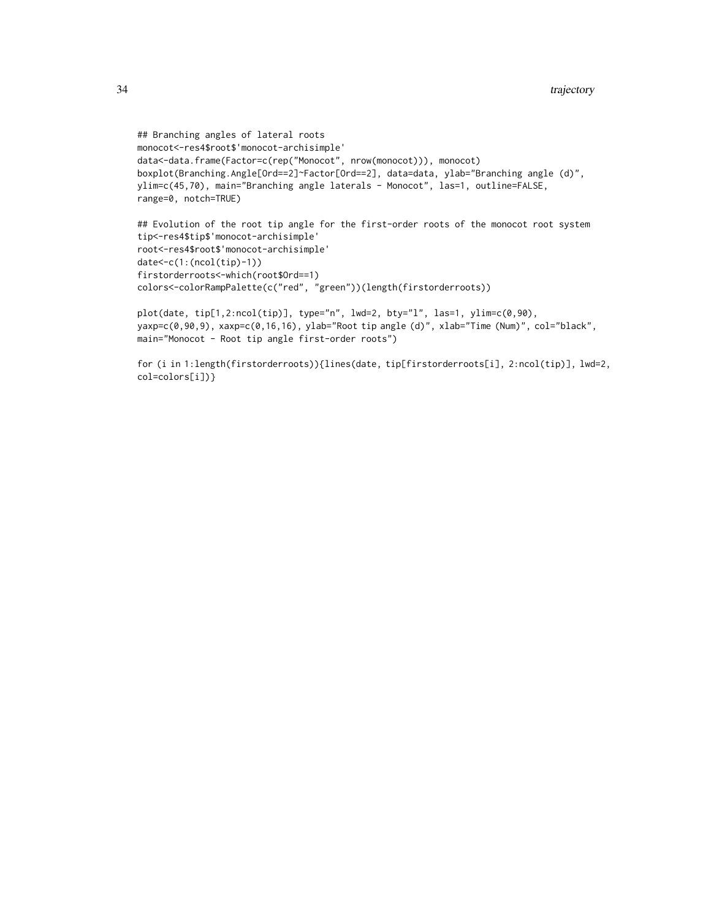```
## Branching angles of lateral roots
monocot<-res4$root$'monocot-archisimple'
data<-data.frame(Factor=c(rep("Monocot", nrow(monocot))), monocot)
boxplot(Branching.Angle[Ord==2]~Factor[Ord==2], data=data, ylab="Branching angle (d)",
ylim=c(45,70), main="Branching angle laterals - Monocot", las=1, outline=FALSE,
range=0, notch=TRUE)
## Evolution of the root tip angle for the first-order roots of the monocot root system
```

```
tip<-res4$tip$'monocot-archisimple'
root<-res4$root$'monocot-archisimple'
date<-c(1:(ncol(tip)-1))
firstorderroots<-which(root$Ord==1)
colors<-colorRampPalette(c("red", "green"))(length(firstorderroots))
```

```
plot(date, tip[1,2:ncol(tip)], type="n", lwd=2, bty="l", las=1, ylim=c(0,90),
yaxp=c(0,90,9), xaxp=c(0,16,16), ylab="Root tip angle (d)", xlab="Time (Num)", col="black",
main="Monocot - Root tip angle first-order roots")
```
for (i in 1:length(firstorderroots)){lines(date, tip[firstorderroots[i], 2:ncol(tip)], lwd=2, col=colors[i])}